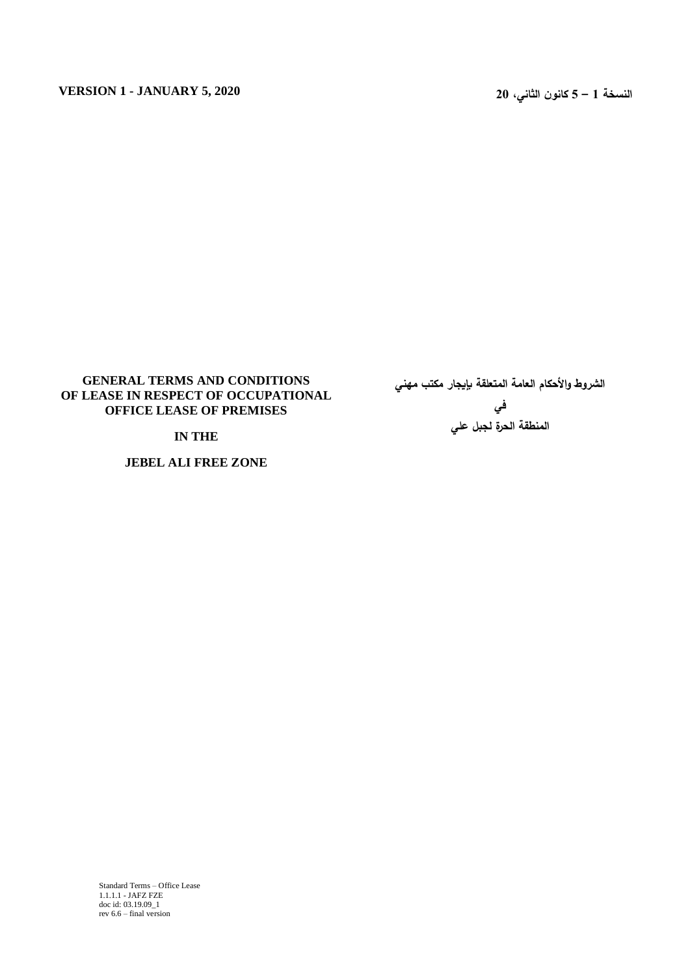# **GENERAL TERMS AND CONDITIONS OF LEASE IN RESPECT OF OCCUPATIONAL OFFICE LEASE OF PREMISES**

## **IN THE**

**JEBEL ALI FREE ZONE**

**الشروط واألحكام العامة المتعلقة بإيجار مكتب مهني في المنطقة الحرة لجبل علي**

Standard Terms – Office Lease 1.1.1.1 - JAFZ FZE doc id: 03.19.09\_1 rev 6.6 – final version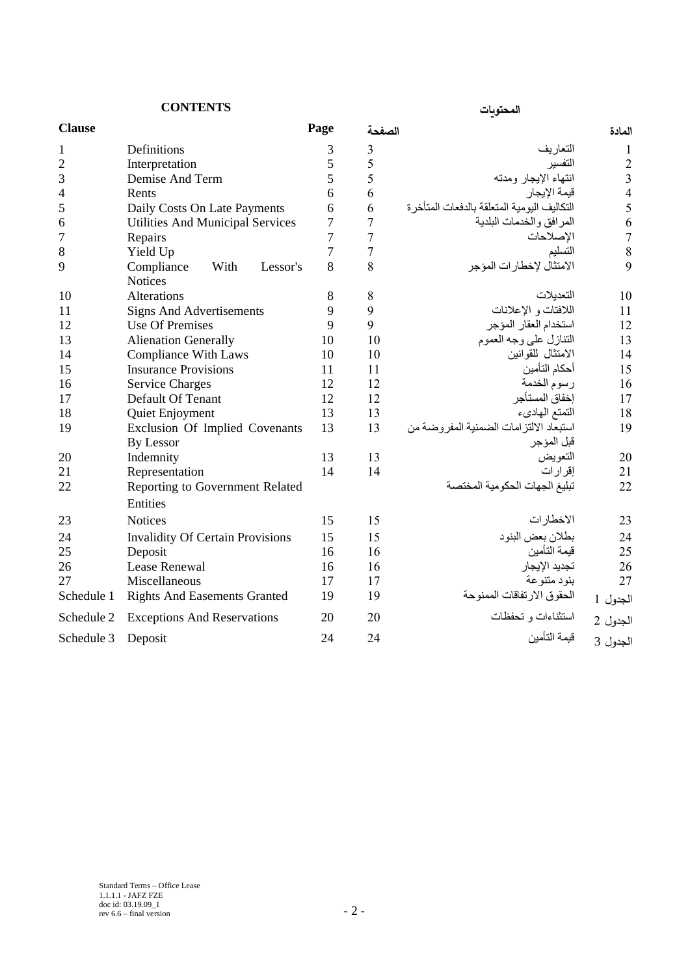**المحتويات CONTENTS**

| <b>Clause</b>  |                                         | Page           | الصفحة         |                                               | المادة         |
|----------------|-----------------------------------------|----------------|----------------|-----------------------------------------------|----------------|
| 1              | Definitions                             | 3              | 3              | التعار يف                                     | 1              |
| $\overline{2}$ | Interpretation                          | 5              | 5              | التفسير                                       | $\overline{2}$ |
| 3              | Demise And Term                         | 5              | 5              | انتهاء الإيجار ومدته                          | $\overline{3}$ |
| 4              | Rents                                   | 6              | 6              | قيمة الإيجار                                  | $\overline{4}$ |
| 5              | Daily Costs On Late Payments            | 6              | 6              | التكاليف اليو مية المتعلقة بالدفعات المتأخر ة | 5              |
| 6              | <b>Utilities And Municipal Services</b> | 7              | $\overline{7}$ | المرافق والخدمات البلدية                      | 6              |
| 7              | Repairs                                 | $\overline{7}$ | $\overline{7}$ | الإصلاحات                                     | $\overline{7}$ |
| 8              | Yield Up                                | $\overline{7}$ | 7              | التسليم                                       | 8              |
| 9              | Compliance<br>With<br>Lessor's          | 8              | 8              | الامتثال لإخطارات المؤجر                      | 9              |
|                | <b>Notices</b>                          |                |                |                                               |                |
| 10             | Alterations                             | 8              | 8              | التعدبلات                                     | 10             |
| 11             | <b>Signs And Advertisements</b>         | 9              | 9              | اللافتات و الإعلانات                          | 11             |
| 12             | <b>Use Of Premises</b>                  | 9              | 9              | استخدام العقار المؤجر                         | 12             |
| 13             | <b>Alienation Generally</b>             | 10             | 10             | التنازل على وجه العموم                        | 13             |
| 14             | <b>Compliance With Laws</b>             | 10             | 10             | الامتثال للقوانين                             | 14             |
| 15             | <b>Insurance Provisions</b>             | 11             | 11             | أحكام التأمين                                 | 15             |
| 16             | <b>Service Charges</b>                  | 12             | 12             | رسوم الخدمة                                   | 16             |
| 17             | Default Of Tenant                       | 12             | 12             | إخفاق المستأجر                                | 17             |
| 18             | Quiet Enjoyment                         | 13             | 13             | التمتع الهادىء                                | 18             |
| 19             | Exclusion Of Implied Covenants          | 13             | 13             | استبعاد الالتزامات الضمنية المفروضة من        | 19             |
|                | By Lessor                               |                |                | قبل المؤجر                                    |                |
| 20             | Indemnity                               | 13             | 13             | التعويض                                       | 20             |
| 21             | Representation                          | 14             | 14             | إقرار ات                                      | 21             |
| 22             | Reporting to Government Related         |                |                | تبليغ الجهات الحكومية المختصة                 | 22             |
|                | Entities                                |                |                |                                               |                |
| 23             | <b>Notices</b>                          | 15             | 15             | الاخطارات                                     | 23             |
| 24             | <b>Invalidity Of Certain Provisions</b> | 15             | 15             | بطلان بعض البنود                              | 24             |
| 25             | Deposit                                 | 16             | 16             | قيمة التأمين                                  | 25             |
| 26             | Lease Renewal                           | 16             | 16             | تجديد الإيجار                                 | 26             |
| 27             | Miscellaneous                           | 17             | 17             | بنود متنوعة                                   | 27             |
| Schedule 1     | <b>Rights And Easements Granted</b>     | 19             | 19             | الحقوق الارتفاقات الممنوحة                    | الجدول 1       |
| Schedule 2     | <b>Exceptions And Reservations</b>      | 20             | 20             | استثناءات و تحفظات                            | الجدول 2       |
| Schedule 3     | Deposit                                 | 24             | 24             | قبمة التأمبن                                  | الجدول 3       |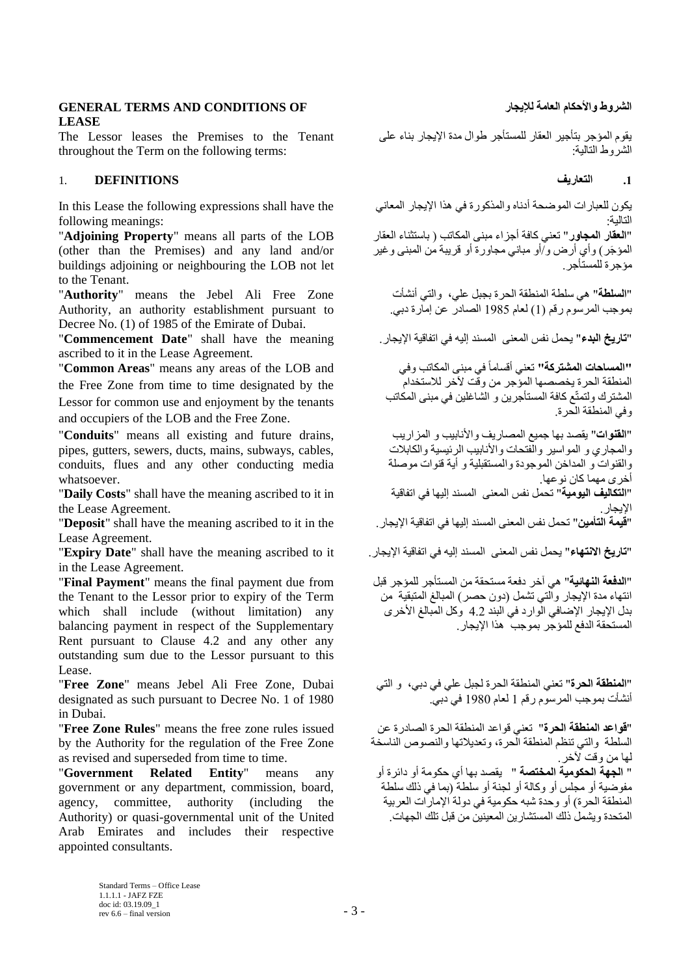# **GENERAL TERMS AND CONDITIONS OF لإليجار العامة واألحكام الشروط LEASE**

The Lessor leases the Premises to the Tenant throughout the Term on the following terms:

# **.1 التعاريف DEFINITIONS** 1.

In this Lease the following expressions shall have the following meanings:

"**Adjoining Property**" means all parts of the LOB (other than the Premises) and any land and/or buildings adjoining or neighbouring the LOB not let to the Tenant.

"**Authority**" means the Jebel Ali Free Zone Authority, an authority establishment pursuant to Decree No. (1) of 1985 of the Emirate of Dubai.

"**تاريخ البدء**" يحمل نفس المعنى المسند إليه في اتفاقية اإليجار. meaning the have shall" **Date Commencement**" ascribed to it in the Lease Agreement.

"**Common Areas**" means any areas of the LOB and the Free Zone from time to time designated by the Lessor for common use and enjoyment by the tenants and occupiers of the LOB and the Free Zone.

"**Conduits**" means all existing and future drains, pipes, gutters, sewers, ducts, mains, subways, cables, conduits, flues and any other conducting media whatsoever.

"**Daily Costs**" shall have the meaning ascribed to it in the Lease Agreement.

"**Deposit**" shall have the meaning ascribed to it in the Lease Agreement.

"**تاريخ االنتهاء**" يحمل نفس المعنى المسند إليه في اتفاقية اإليجار. it to ascribed meaning the have shall" **Date Expiry**" in the Lease Agreement.

"**Final Payment**" means the final payment due from the Tenant to the Lessor prior to expiry of the Term which shall include (without limitation) any balancing payment in respect of the Supplementary Rent pursuant to Clause 4.2 and any other any outstanding sum due to the Lessor pursuant to this Lease.

"**Free Zone**" means Jebel Ali Free Zone, Dubai designated as such pursuant to Decree No. 1 of 1980 in Dubai.

"**Free Zone Rules**" means the free zone rules issued by the Authority for the regulation of the Free Zone as revised and superseded from time to time.

"**Government Related Entity**" means any government or any department, commission, board, agency, committee, authority (including the Authority) or quasi-governmental unit of the United Arab Emirates and includes their respective appointed consultants.

يقوم المؤجر بتأجير العقار للمستأجر طوال مدة اإليجار بناء على الشروط التالية:

يكون للعبارات الموضحة أدناه والمذكورة في هذا اإليجار المعاني التالية: "**العقار المجاور**" تعني كافة أجزاء مبنى المكاتب ) باستثناء العقار المؤجَر ) وأي أرض و/أو مباني مجاورة أو قريبة من المبنى وغير مؤجرة للمستأجر.

"**السلطة**" هي سلطة المنطقة الحرة بجبل علي، والتي أنشأت بموجب المرسوم رقم (1) لعام 1985 الصادر عن إمارة دبي.

**"المساحات المشتركة"** تعني أقساماً في مبنى المكاتب وفي المنطقة الحرة يخصصها المؤجر من وقت آلخر لالستخدام المشترك ولتمتّع كافة المستأجرين و الشاغلين في مبنى المكاتب وفي المنطقة الحرة.

"**القنوات**" يقصد بها جميع المصاريف واألنابيب و المزاريب والمجاري و المواسير والفتحات واألنابيب الرئيسية والكابالت والقنوات و المداخن الموجودة والمستقبلية و أية قنوات موصلة أخرى مهما كان نوعها. "**التكاليف اليومية**" تحمل نفس المعنى المسند إليها في اتفاقية

الإيجار .<br>"**قيمة التأمين**" تحمل نفس المعنى المسند إليها في اتفاقية الإيجار .

"**الدفعة النهائية**" هي آخر دفعة مستحقة من المستأجر للمؤجر قبل انتهاء مدة الإيجار والتي تشمل (دون حصر) المبالغ المتبقية من بدل اإليجار اإلضافي الوارد في البند 4.2 وكل المبالغ األخرى المستحقة الدفع للمؤجر بموجب هذا اإليجار.

"**المنطقة الحرة**" تعني المنطقة الحرة لجبل علي في دبي، و التي أنشأت بموجب المرسوم رقم 1 لعام 1980 في دبي.

"**قواعد المنطقة الحرة**" تعني قواعد المنطقة الحرة الصادرة عن السلطة والتي تنظم المنطقة الحرة، وتعديالتها والنصوص الناسخة لها من وقت آلخر.

" **الجهة الحكومية المختصة** " يقصد بها أي حكومة أو دائرة أو مفوضية أو مجلس أو وكالة أو لجنة أو سلطة )بما في ذلك سلطة المنطقة الحرة) أو وحدة شبه حكومية في دولة الإمارات العربية المتحدة ويشمل ذلك المستشارين المعينين من قبل تلك الجهات.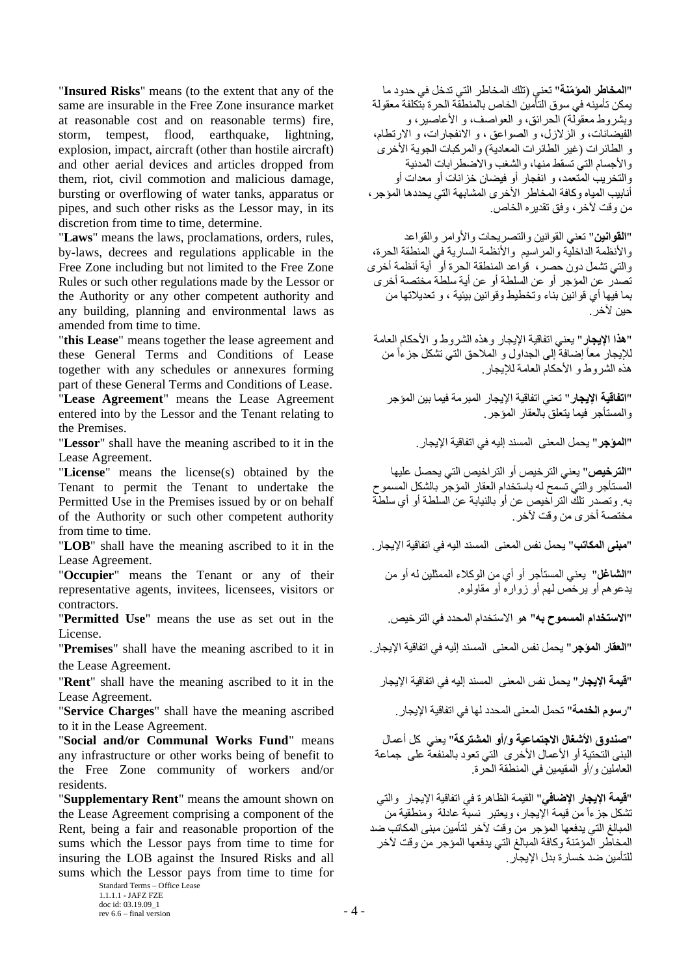"**Insured Risks**" means (to the extent that any of the same are insurable in the Free Zone insurance market at reasonable cost and on reasonable terms) fire, storm, tempest, flood, earthquake, lightning, explosion, impact, aircraft (other than hostile aircraft) and other aerial devices and articles dropped from them, riot, civil commotion and malicious damage, bursting or overflowing of water tanks, apparatus or pipes, and such other risks as the Lessor may, in its discretion from time to time, determine.

"**Laws**" means the laws, proclamations, orders, rules, by-laws, decrees and regulations applicable in the Free Zone including but not limited to the Free Zone Rules or such other regulations made by the Lessor or the Authority or any other competent authority and any building, planning and environmental laws as amended from time to time.

"**this Lease**" means together the lease agreement and these General Terms and Conditions of Lease together with any schedules or annexures forming part of these General Terms and Conditions of Lease. "**Lease Agreement**" means the Lease Agreement entered into by the Lessor and the Tenant relating to the Premises.

"**Lessor**" shall have the meaning ascribed to it in the .اإليجار اتفاقية في إليه المسند المعنى يحمل" **المؤجر**" Lease Agreement.

"**License**" means the license(s) obtained by the Tenant to permit the Tenant to undertake the Permitted Use in the Premises issued by or on behalf of the Authority or such other competent authority from time to time.

Lease Agreement.

"**Occupier**" means the Tenant or any of their representative agents, invitees, licensees, visitors or contractors.

"**Permitted Use**" means the use as set out in the .الترخيص في المحدد االستخدام هو" **به المسموح االستخدام**" License.

the Lease Agreement.

"**قيمة الإيجار**" يحمل نفس المعنى المسند إليه في اتفاقية الإيجار " **Rent**" shall have the meaning ascribed to it in the Lease Agreement.

"**رسوم الخدمة**" تحمل المعنى المحدد لها في اتفاقية اإليجار. ascribed meaning the have shall" **Charges Service**" to it in the Lease Agreement.

"**Social and/or Communal Works Fund**" means any infrastructure or other works being of benefit to the Free Zone community of workers and/or residents.

"**Supplementary Rent**" means the amount shown on the Lease Agreement comprising a component of the Rent, being a fair and reasonable proportion of the sums which the Lessor pays from time to time for insuring the LOB against the Insured Risks and all sums which the Lessor pays from time to time for

> Standard Terms – Office Lease 1.1.1.1 - JAFZ FZE doc id: 03.19.09\_1 rev 6.6 – final version  $-4$  –

"**المخاطر المؤ ّمنة**" تعني )تلك المخاطر التي تدخل في حدود ما يمكن تأمينه في سوق التأمين الخاص بالمنطقة الحرة بتكلفة معقولة وبشروط معقولة) الحرائق، و العواصف، و الأعاصير ، و الفيضانات، و الزالزل، و الصواعق ، و االنفجارات، و االرتطام، و الطائرات (غير الطائرات المعادية) والمركبات الجوية الأخرى والأجسام التي تسقط منها، والشغب والاضطرابات المدنية والتخريب المتعمد، و انفجار أو فيضان خزانات أو معدات أو أنابيب المياه وكافة المخاطر األخرى المشابهة التي يحددها المؤجر، من وقت آلخر، وفق تقديره الخاص.

"**القوانين**" تعني القوانين والتصريحات واألوامر والقواعد والأنظمة الداخلية والمراسيم والأنظمة السارية في المنطقة الحرة، والتي تشمل دون حصر، قواعد المنطقة الحرة أو أية أنظمة أخرى تصدر عن المؤجر أو عن السلطة أو عن أية سلطة مختصة أخرى بما فيها أي قوانين بناء وتخطيط وقوانين بيئية ، و تعديالتها من حين لأخر .

"**هذا اإليجار**" يعني اتفاقية اإليجار وهذه الشروط و األحكام العامة للإيجار معاً إضـافةً إلى الجداول و الملاحق التي تشكل جزءاً من هذه الشر وط و الأحكام العامة للإيجار .

"**اتفاقية اإليجار**" تعني اتفاقية اإليجار المبرمة فيما بين المؤجر والمستأجر فيما يتعلق بالعقار المؤجر.

"**الترخيص**" يعني الترخيص أو التراخيص التي يحصل عليها المستأجر والتي تسمح له باستخدام العقار المؤجر بالشكل المسموح به. وتصدر تلك التراخيص عن أو بالنيابة عن السلطة أو أي سلطة مختصة أخرى من وقت لأخر .

"**مبنى المكاتب**" يحمل نفس المعنى المسند اليه في اتفاقية الإيجار. "LOB" shall have the meaning ascribed to it in the

"**الشاغل**" يعني المستأجر أو أي من الوكالء الممثلين له أو من يدعوهم أو يرخص لهم أو زواره أو مقاولوه.

"**العقار المؤجر**" يحمل نفس المعنى المسند إليه في اتفاقية اإليجار. in it to ascribed meaning the have shall" **Premises**"

"**صندوق األشغال االجتماعية و/أو المشتركة**" يعني كل أعمال البنى التحتية أو الأعمال الأخرى التي تعود بالمنفعة على جماعة العاملين و/أو المقيمين في المنطقة الحرة.

"**قيمة اإليجار اإلضافي**" القيمة الظاهرة في اتفاقية اإليجار والتي تشكل جزءاً من قيمة الإيجار، ويعتبر نسبة عادلة ومنطقية من المبالغ التي يدفعها المؤجر من وقت آلخر لتأمين مبنى المكاتب ضد المخاطر المؤ ّمنة وكافة المبالغ التي يدفعها المؤجر من وقت آلخر للتأمين ضد خسارة بدل اإليجار.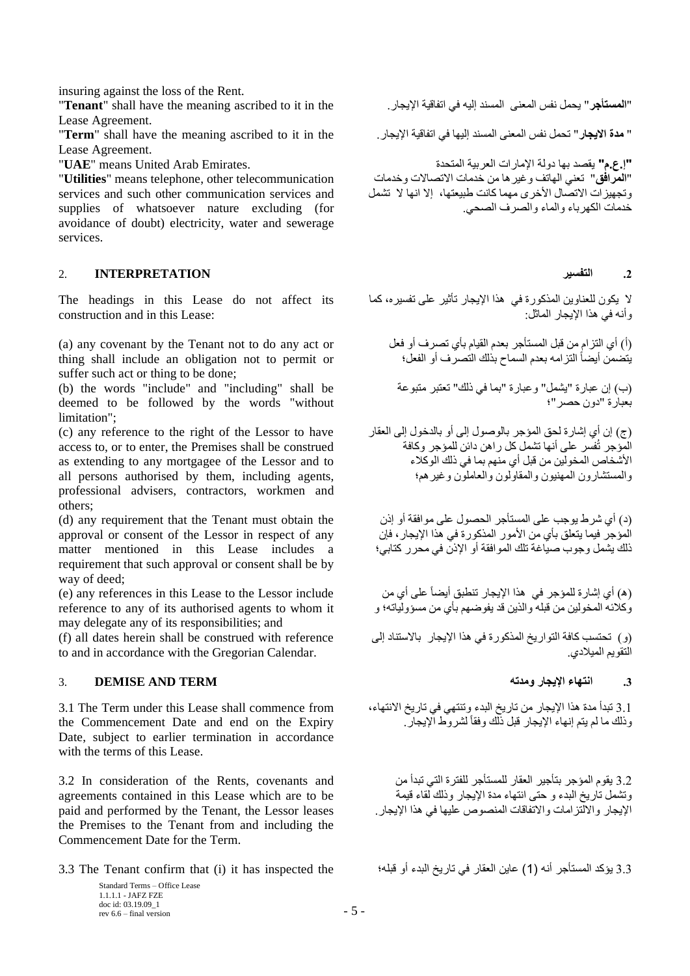insuring against the loss of the Rent.

"**Tenant**" shall have the meaning ascribed to it in the .اإليجار اتفاقية في إليه المسند المعنى نفس يحمل" **المستأجر**" Lease Agreement.

Lease Agreement.

"**Utilities**" means telephone, other telecommunication services and such other communication services and supplies of whatsoever nature excluding (for avoidance of doubt) electricity, water and sewerage services.

# **.2 التفسير INTERPRETATION** 2.

The headings in this Lease do not affect its construction and in this Lease:

(a) any covenant by the Tenant not to do any act or thing shall include an obligation not to permit or suffer such act or thing to be done;

(b) the words "include" and "including" shall be deemed to be followed by the words "without limitation";

(c) any reference to the right of the Lessor to have access to, or to enter, the Premises shall be construed as extending to any mortgagee of the Lessor and to all persons authorised by them, including agents, professional advisers, contractors, workmen and others;

(d) any requirement that the Tenant must obtain the approval or consent of the Lessor in respect of any matter mentioned in this Lease includes a requirement that such approval or consent shall be by way of deed;

(e) any references in this Lease to the Lessor include reference to any of its authorised agents to whom it may delegate any of its responsibilities; and

(f) all dates herein shall be construed with reference to and in accordance with the Gregorian Calendar.

# **.3 انتهاء اإليجار ومدته TERM AND DEMISE** 3.

3.1 The Term under this Lease shall commence from the Commencement Date and end on the Expiry Date, subject to earlier termination in accordance with the terms of this Lease.

3.2 In consideration of the Rents, covenants and agreements contained in this Lease which are to be paid and performed by the Tenant, the Lessor leases the Premises to the Tenant from and including the Commencement Date for the Term.

3.3 يؤكد المستأجر أنه )1( عاين العقار في تاريخ البدء أو قبله؛ the inspected has it) i (that confirm Tenant The 3.3

Standard Terms – Office Lease 1.1.1.1 - JAFZ FZE doc id: 03.19.09\_1  $r = 5 -$  rev 6.6 – final version  $-5$  –

" **مدة االيجار**" تحمل نفس المعنى المسند إليها في اتفاقية اإليجار. the in it to ascribed meaning the have shall" **Term**"

**"إ.ع.م"** يقصد بها دولة اإلمارات العربية المتحدة .Emirates Arab United means" **UAE**" "**المرافق**" تعني الهاتف وغيرها من خدمات االتصاالت وخدمات وتجهيزات االتصال األخرى مهما كانت طبيعتها، إال انها ال تشمل خدمات الكهرباء والماء والصرف الصحي.

ال يكون للعناوين المذكورة في هذا اإليجار تأثير على تفسيره، كما وأنه في هذا اإليجار الماثل:

)أ( أي التزام من قبل المستأجر بعدم القيام بأي تصرف أو فعل يتضمن أيضاً التزامه بعدم السماح بذلك التصرف أو الفعل؛

)ب( إن عبارة "يشمل" وعبارة "بما في ذلك" تعتبر متبوعة بعبارة "دون حصر"؛

)ج( إن أي إشارة لحق المؤجر بالوصول إلى أو بالدخول إلى العقار المؤجر تُفسر على أنها تشمل كل راهن دائن للمؤجر وكافة األشخاص المخولين من قبل أي منهم بما في ذلك الوكالء والمستشارون المهنيون والمقاولون والعاملون وغيرهم؛

)د( أي شرط يوجب على المستأجر الحصول على موافقة أو إذن المؤجر فيما يتعلق بأي من األمور المذكورة في هذا اإليجار، فإن ذلك يشمل وجوب صياغة تلك الموافقة أو اإلذن في محرر كتابي؛

)ه( أي إشارة للمؤجر في هذا اإليجار تنطبق أيضاً على أي من وكالئه المخولين من قبله والذين قد يفوضهم بأي من مسؤولياته؛ و

)و( تحتسب كافة التواريخ المذكورة في هذا اإليجار باالستناد إلى ري<br>التقويم الميلادي.

3.1 تبدأ مدة هذا اإليجار من تاريخ البدء وتنتهي في تاريخ االنتهاء، وذلك ما لم يتم إنهاء اإليجار قبل ذلك وفقاً لشروط اإليجار.

3.2 يقوم المؤجر بتأجير العقار للمستأجر للفترة التي تبدأ من وتشمل تاريخ البدء و حتى انتهاء مدة اإليجار وذلك لقاء قيمة اإليجار وااللتزامات واالتفاقات المنصوص عليها في هذا اإليجار.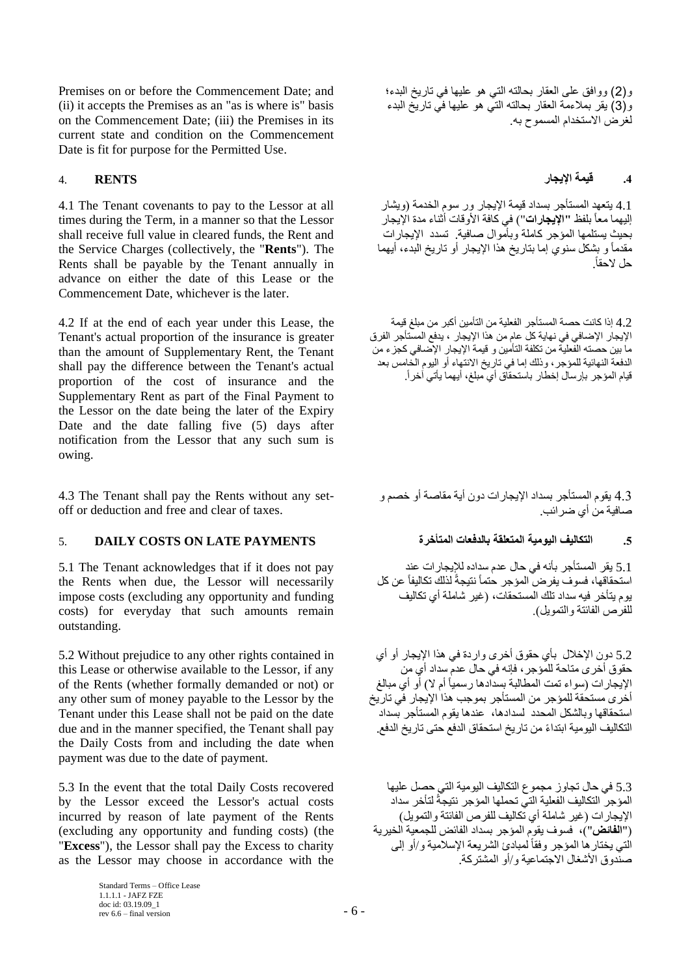Premises on or before the Commencement Date; and (ii) it accepts the Premises as an "as is where is" basis on the Commencement Date; (iii) the Premises in its current state and condition on the Commencement Date is fit for purpose for the Permitted Use.

4.1 The Tenant covenants to pay to the Lessor at all times during the Term, in a manner so that the Lessor shall receive full value in cleared funds, the Rent and the Service Charges (collectively, the "**Rents**"). The Rents shall be payable by the Tenant annually in advance on either the date of this Lease or the Commencement Date, whichever is the later.

4.2 If at the end of each year under this Lease, the Tenant's actual proportion of the insurance is greater than the amount of Supplementary Rent, the Tenant shall pay the difference between the Tenant's actual proportion of the cost of insurance and the Supplementary Rent as part of the Final Payment to the Lessor on the date being the later of the Expiry Date and the date falling five (5) days after notification from the Lessor that any such sum is owing.

4.3 The Tenant shall pay the Rents without any setoff or deduction and free and clear of taxes.

# **.5 التكاليف اليومية المتعلقة بالدفعات المتأخرة PAYMENTS LATE ON COSTS DAILY** 5.

5.1 The Tenant acknowledges that if it does not pay the Rents when due, the Lessor will necessarily impose costs (excluding any opportunity and funding costs) for everyday that such amounts remain outstanding.

5.2 Without prejudice to any other rights contained in this Lease or otherwise available to the Lessor, if any of the Rents (whether formally demanded or not) or any other sum of money payable to the Lessor by the Tenant under this Lease shall not be paid on the date due and in the manner specified, the Tenant shall pay the Daily Costs from and including the date when payment was due to the date of payment.

5.3 In the event that the total Daily Costs recovered by the Lessor exceed the Lessor's actual costs incurred by reason of late payment of the Rents (excluding any opportunity and funding costs) (the "**Excess**"), the Lessor shall pay the Excess to charity as the Lessor may choose in accordance with the

> Standard Terms – Office Lease 1.1.1.1 - JAFZ FZE doc id: 03.19.09\_1 rev 6.6 – final version  $-6$  –

و)2( ووافق على العقار بحالته التي هو عليها في تاريخ البدء؛ و)3( يقر بمالءمة العقار بحالته التي هو عليها في تاريخ البدء لغرض االستخدام المسموح به.

# **.4 قيمة اإليجار RENTS** 4.

4.1 يتعهد المستأجر بسداد قيمة الإيجار ور سوم الخدمة (ويشار إليهما معاً بلفظ **"اإليجارات**"( في كافة األوقات أثناء مدة اإليجار بحيث يستلمها المؤجر كاملة وبأموال صافية. تسدد اإليجارات مقدماً و بشكل سنوي إما بتاريخ هذا اإليجار أو تاريخ البدء، أيهما حل الحقا.ً

4.2 إذا كانت حصة المستأجر الفعلية من التأمين أكبر من مبلغ قيمة اإليجار اإلضافي في نهاية كل عام من هذا اإليجار ، يدفع المستأجر الفرق ما بين حصته الفعلية من تكلفة التأمين و قيمة اإليجار اإلضافي كجزء من الدفعة النهائية للمؤجر، وذلك إما في تاريخ االنتهاء أو اليوم الخامس بعد قيام المؤجر بإرسال إخطار باستحقاق أي مبلغ، أيهما يأتي آخرا.ً

4.3 يقوم المستأجر بسداد اإليجارات دون أية مقاصة أو خصم و صافية من أي ضرائب.

5.1 يقر المستأجر بأنه في حال عدم سداده لإليجارات عند استحقاقها، فسوف يفرض المؤجر حتماً نتيجةً لذلك تكاليفاً عن كل يوم يتأخر فيه سداد تلك المستحقات، )غير شاملة أي تكاليف للفرص الفائتة والتمويل).

5.2 دون اإلخالل بأي حقوق أخرى واردة في هذا اإليجار أو أي حقوق أخرى متاحة للمؤجر، فإنه في حال عدم سداد أي من الإيجارات (سواء تمت المطالبة بسدادها رسمياً أم لا) أو أي مبالغ أخرى مستحقة للمؤجر من المستأجر بموجب هذا اإليجار في تاريخ استحقاقها وبالشكل المحدد لسدادها، عندها يقوم المستأجر بسداد التكاليف اليومية ابتداءً من تاريخ استحقاق الدفع حتى تاريخ الدفع.

5.3 في حال تجاوز مجموع التكاليف اليومية التي حصل عليها المؤجر التكاليف الفعلية التي تحملها المؤجر نتيجةً لتأخر سداد الإيجارات (غير شاملة أي تكاليف للفرص الفائتة والتمويل) )"**الفائض**"(، فسوف يقوم المؤجر بسداد الفائض للجمعية الخيرية الُتي يختار ها المؤجر وفقاً لمبادئ الشريعة الإسلامية و/أو إلى صنّدوق الأشغال الاجتماعية و/أو المشتركة.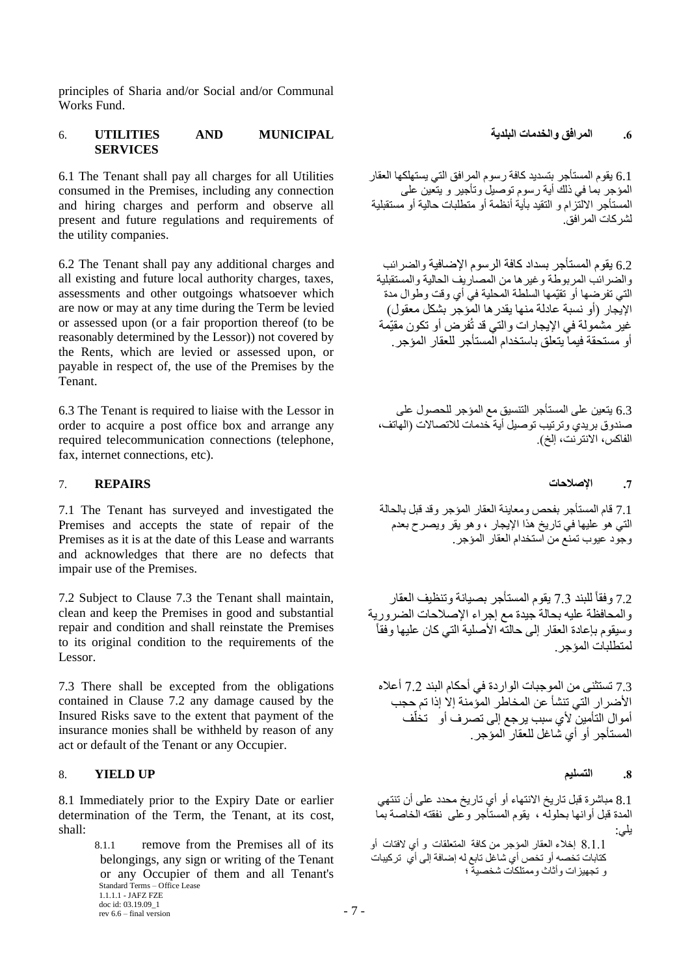principles of Sharia and/or Social and/or Communal Works Fund.

# **.6 المرافق والخدمات البلدية MUNICIPAL AND UTILITIES** 6. **SERVICES**

6.1 The Tenant shall pay all charges for all Utilities consumed in the Premises, including any connection and hiring charges and perform and observe all present and future regulations and requirements of the utility companies.

6.2 The Tenant shall pay any additional charges and all existing and future local authority charges, taxes, assessments and other outgoings whatsoever which are now or may at any time during the Term be levied or assessed upon (or a fair proportion thereof (to be reasonably determined by the Lessor)) not covered by the Rents, which are levied or assessed upon, or payable in respect of, the use of the Premises by the Tenant.

6.3 The Tenant is required to liaise with the Lessor in order to acquire a post office box and arrange any required telecommunication connections (telephone, fax, internet connections, etc).

### **.7 اإلصالحات REPAIRS** 7.

7.1 The Tenant has surveyed and investigated the Premises and accepts the state of repair of the Premises as it is at the date of this Lease and warrants and acknowledges that there are no defects that impair use of the Premises.

7.2 Subject to Clause 7.3 the Tenant shall maintain, clean and keep the Premises in good and substantial repair and condition and shall reinstate the Premises to its original condition to the requirements of the Lessor.

7.3 There shall be excepted from the obligations contained in Clause 7.2 any damage caused by the Insured Risks save to the extent that payment of the insurance monies shall be withheld by reason of any act or default of the Tenant or any Occupier.

### <span id="page-6-0"></span>8. **YIELD UP التسليم .8**

8.1 Immediately prior to the Expiry Date or earlier determination of the Term, the Tenant, at its cost, shall:

> Standard Terms – Office Lease 1.1.1.1 - JAFZ FZE doc id: 03.19.09\_1  $r = 7 -$  rev 6.6 – final version  $-7 -$ 8.1.1 remove from the Premises all of its belongings, any sign or writing of the Tenant or any Occupier of them and all Tenant's

6.1 يقوم المستأجر بتسديد كافة رسوم المرافق التي يستهلكها العقار المؤجر بما في ذلك أية رسوم توصيل وتأجير و يتعين على المستأجر االلتزام و التقيد بأية أنظمة أو متطلبات حالية أو مستقبلية لشركات المرافق.

6.2 يقوم المستأجر بسداد كافة الرسوم اإلضافية والضرائب والضرائب المربوطة وغيرها من المصاريف الحالية والمستقبلية التي تفرضها أو تقيّمها السلطة المحلية في أي وقت وطوال مدة الإيجار (أو نسبة عادلة منها يقدرها المؤجر بشكل معقول) غير مشمولة في اإليجار ات والتي قد تُفرض أو تكون مقيّمة أو مستحقة فيما يتعلق باستخدام المستأجر للعقار المؤجر .

6.3 يتعين على المستأجر التنسيق مع المؤجر للحصول على صندوق بريدي وترتيب توصيل أية خدمات لالتصاالت )الهاتف، الفاكس، الانترنت، إلخ).

7.1 قام المستأجر بفحص ومعاينة العقار المؤجر وقد قبل بالحالة التي هو عليها في تاريخ هذا اإليجار ، وهو يقر ويصرح بعدم وجود عيوب تمنع من استخدام العقار المؤجر.

7.2 وفقاً للبند 7.3 يقوم المستأجر بصيانة وتنظيف العقار والمحافظة عليه بحالة جيدة مع إجراء اإلصالحات الضرورية وسيقوم بإعادة العقار إلى حالته الأصلية التي كان عليها وفقاً لمتطلبات المؤجر .

7.3 تستثنى من الموجبات الواردة في أحكام البند 7.2 أعاله األضرار التي تنشأ عن المخاطر المؤمنة إال إذا تم حجب أموال التأمين لأي سبب يرجع إلى تصرف أو تخلّف المستأجر أو أي شاغل للعقار المؤجر .

8.1 مباشرة قبل تاريخ االنتهاء أو أي تاريخ محدد على أن تنتهي المدة قبل أوانها بحلوله ، يقوم المستأجر وعلى نفقته الخاصة بما يلي: 8.1.1 إخالء العقار المؤجر من كافة المتعلقات و أي الفتات أو

كتابات تخصه أو تخص أي شاغل تابع له إضافة إلى أي تركيبات و تجهيزات وأثاث وممتلكات شخصية ؛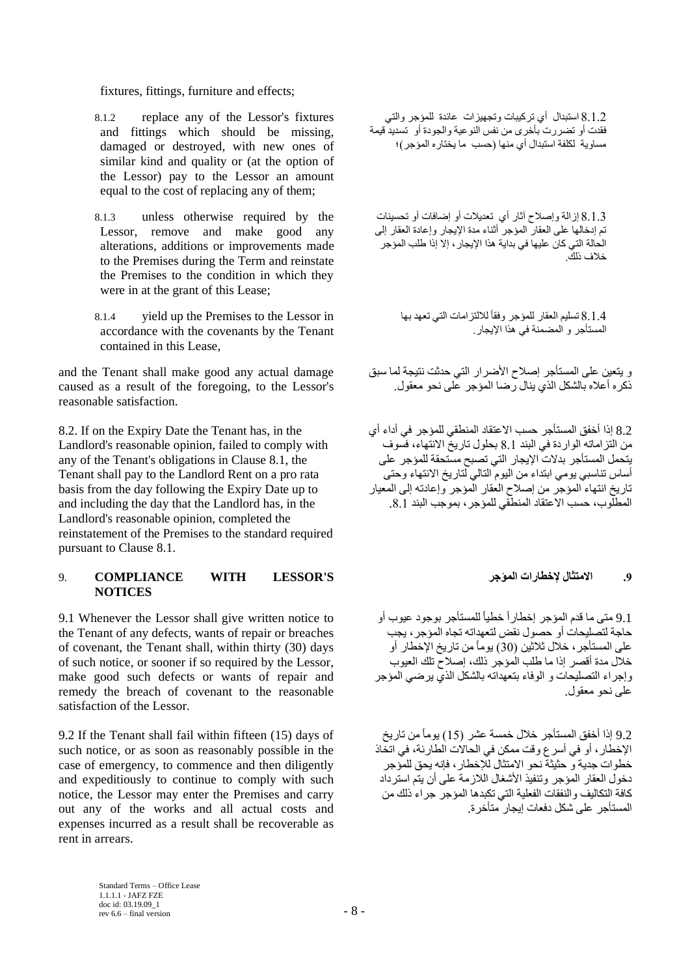fixtures, fittings, furniture and effects;

- 8.1.2 replace any of the Lessor's fixtures and fittings which should be missing, damaged or destroyed, with new ones of similar kind and quality or (at the option of the Lessor) pay to the Lessor an amount equal to the cost of replacing any of them;
- 8.1.3 unless otherwise required by the Lessor, remove and make good any alterations, additions or improvements made to the Premises during the Term and reinstate the Premises to the condition in which they were in at the grant of this Lease;
- 8.1.4 yield up the Premises to the Lessor in accordance with the covenants by the Tenant contained in this Lease,

and the Tenant shall make good any actual damage caused as a result of the foregoing, to the Lessor's reasonable satisfaction.

8.2. If on the Expiry Date the Tenant has, in the Landlord's reasonable opinion, failed to comply with any of the Tenant's obligations in Clause 8.1, the Tenant shall pay to the Landlord Rent on a pro rata basis from the day following the Expiry Date up to and including the day that the Landlord has, in the Landlord's reasonable opinion, completed the reinstatement of the Premises to the standard required pursuant to Clause 8.1.

## 9. **COMPLIANCE WITH LESSOR'S المؤجر إلخطارات االمتثال .9 NOTICES**

9.1 Whenever the Lessor shall give written notice to the Tenant of any defects, wants of repair or breaches of covenant, the Tenant shall, within thirty (30) days of such notice, or sooner if so required by the Lessor, make good such defects or wants of repair and remedy the breach of covenant to the reasonable satisfaction of the Lessor.

9.2 If the Tenant shall fail within fifteen (15) days of such notice, or as soon as reasonably possible in the case of emergency, to commence and then diligently and expeditiously to continue to comply with such notice, the Lessor may enter the Premises and carry out any of the works and all actual costs and expenses incurred as a result shall be recoverable as rent in arrears.

8.1.2 استبدال أي تركيبات وتجهيزات عائدة للمؤجر والتي فقدت أو تضررت بأخرى من نفس النوعية والجودة أو تسديد قيمة مساوية لكلفة استبدال أي منها (حسب ما يختاره المؤجر)؛

8.1.3 إزالة وإصالح آثار أي تعديالت أو إضافات أو تحسينات تم إدخالها على العقار المؤجر أثناء مدة اإليجار وإعادة العقار إلى الحالة التي كان عليها في بداية هذا اإليجار، إال إذا طلب المؤجر خالف ذلك.

> 8.1.4 تسليم العقار للمؤجر وفقاً للالتزامات التي تعهد بها المستأجر و المضمنة في هذا اإليجار.

و يتعين على المستأجر إصالح األضرار التي حدثت نتيجة لما سبق ذكره أعاله بالشكل الذي ينال رضا المؤجر على نحو معقول.

8.2 إذا أخفق المستأجر حسب االعتقاد المنطقي للمؤجر في أداء أي من التزاماته الواردة في البند 8.1 بحلول تاريخ االنتهاء، فسوف يتحمل المستأجر بدالت اإليجار التي تصبح مستحقة للمؤجر على أساس تناسبي يومي ابتداء من اليوم التالي لتاريخ االنتهاء وحتى تاريخ انتهاء المؤجر من إصالح العقار المؤجر وإعادته إلى المعيار المطلوب، حسب االعتقاد المنطقي للمؤجر، بموجب البند .8.1

9.1 متى ما قدم المؤجر إخطاراً خطياً للمستأجر بوجود عيوب أو حاجة لتصليحات أو حصول نقض لتعهداته تجاه المؤجر، يجب على المستأجر، خالل ثالثين )30( يوماًمن تاريخ اإلخطار أو خالل مدة أقصر إذا ما طلب المؤجر ذلك، إصالح تلك العيوب وإجراء التصليحات و الوفاء بتعهداته بالشكل الذي يرضي المؤجر على نحو معقول.

9.2 إذا أخفق المستأجر خالل خمسة عشر )15( يوماًمن تاريخ اإلخطار، أو في أسرع وقت ممكن في الحاالت الطارئة، في اتخاذ خطوات جدية و حثيثة نحو االمتثال لإلخطار، فإنه يحق للمؤجر دخول العقار المؤجر وتنفيذ الأشغال اللازمة على أن يتم استرداد كافة التكاليف والنفقات الفعلية التي تكبدها المؤجر جراء ذلك من المستأجر على شكل دفعات إيجار متأخرة.

Standard Terms – Office Lease 1.1.1.1 - JAFZ FZE doc id: 03.19.09\_1 rev 6.6 – final version  $8 - 8$  –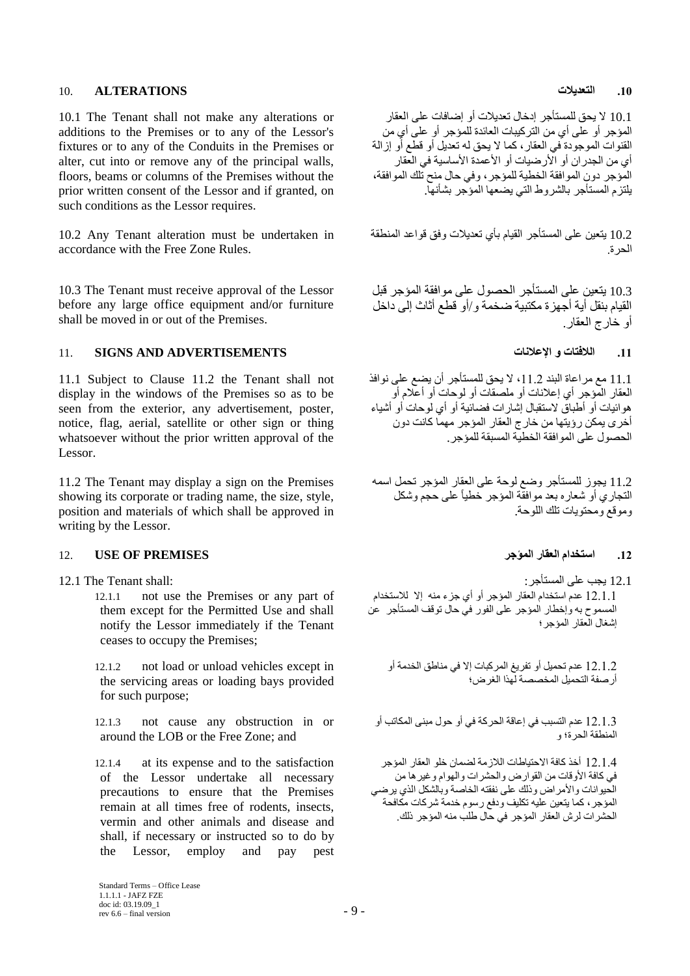### **.10 التعديالت ALTERATIONS** 10.

10.1 The Tenant shall not make any alterations or additions to the Premises or to any of the Lessor's fixtures or to any of the Conduits in the Premises or alter, cut into or remove any of the principal walls, floors, beams or columns of the Premises without the prior written consent of the Lessor and if granted, on such conditions as the Lessor requires.

10.2 Any Tenant alteration must be undertaken in accordance with the Free Zone Rules.

10.3 The Tenant must receive approval of the Lessor before any large office equipment and/or furniture shall be moved in or out of the Premises.

# **.11 الالفتات و اإلعالنات ADVERTISEMENTS AND SIGNS** 11.

11.1 Subject to Clause 11.2 the Tenant shall not display in the windows of the Premises so as to be seen from the exterior, any advertisement, poster, notice, flag, aerial, satellite or other sign or thing whatsoever without the prior written approval of the Lessor.

11.2 The Tenant may display a sign on the Premises showing its corporate or trading name, the size, style, position and materials of which shall be approved in writing by the Lessor.

# **.12 استخدام العقار المؤجر PREMISES OF USE** 12.

12.1.1 not use the Premises or any part of them except for the Permitted Use and shall notify the Lessor immediately if the Tenant ceases to occupy the Premises;

12.1.2 not load or unload vehicles except in the servicing areas or loading bays provided for such purpose;

12.1.3 not cause any obstruction in or around the LOB or the Free Zone; and

12.1.4 at its expense and to the satisfaction of the Lessor undertake all necessary precautions to ensure that the Premises remain at all times free of rodents, insects, vermin and other animals and disease and shall, if necessary or instructed so to do by the Lessor, employ and pay pest

10.1 ال يحق للمستأجر إدخال تعديالت أو إضافات على العقار المؤجر أو على أي من التركيبات العائدة للمؤجر أو على أي من القنوات الموجودة في العقار، كما ال يحق له تعديل أو قطع أو إزالة أي من الجدران أو الأرضيات أو الأعمدة الأساسية في العقار المؤجر دون الموافقة الخطية للمؤجر، وفي حال منح تلك الموافقة، يلتزم المستأجر بالشروط التي يضعها المؤجر بشأنها.

10.2 يتعين على المستأجر القيام بأي تعديالت وفق قواعد المنطقة الحرة.

10.3 يتعين على المستأجر الحصول على موافقة المؤجر قبل القيام بنقل أية أجهزة مكتبية ضخمة و/أو قطع أثاث إلى داخل أو خارج العقار .

11.1 مع مراعاة البند 11.2 ، لا يحق للمستأجر أن يضع على نوافذ العقار المؤجر أي إعالنات أو ملصقات أو لوحات أو أعالم أو هوائيات أو أطباق الستقبال إشارات فضائية أو أي لوحات أو أشياء أخرى يمكن رؤيتها من خارج العقار المؤجر مهما كانت دون الحصول على الموافقة الخطية المسبقة للمؤجر.

11.2 يجوز للمستأجر وضع لوحة على العقار المؤجر تحمل اسمه التجاري أو شعاره بعد موافقة المؤجر خطياً على حجم وشكل وموقع ومحتويات تلك اللوحة.

12.1 يجب على المستأجر: :shall Tenant The 12.1

12.1.1 عدم استخدام العقار المؤجر أو أي جزء منه إال لالستخدام المسموح به وإخطار المؤجر على الفور في حال توقف المستأجر عن إشغال العقار المؤجر؛

12.1.2 عدم تحميل أو تفريغ المركبات إال في مناطق الخدمة أو أرصفة التحميل المخصصة لهذا الغرض؛

12.1.3 عدم التسبب في إعاقة الحركة في أو حول مبنى المكاتب أو المنطقة الحرة؛ و

12.1.4 أخذ كافة االحتياطات الالزمة لضمان خلو العقار المؤجر في كافة األوقات من القوارض والحشرات والهوام وغيرها من الحيوانات واألمراض وذلك على نفقته الخاصة وبالشكل الذي يرضي المؤجر، كما يتعين عليه تكليف ودفع رسوم خدمة شركات مكافحة الحشرات لرش العقار المؤجر في حال طلب منه المؤجر ذلك.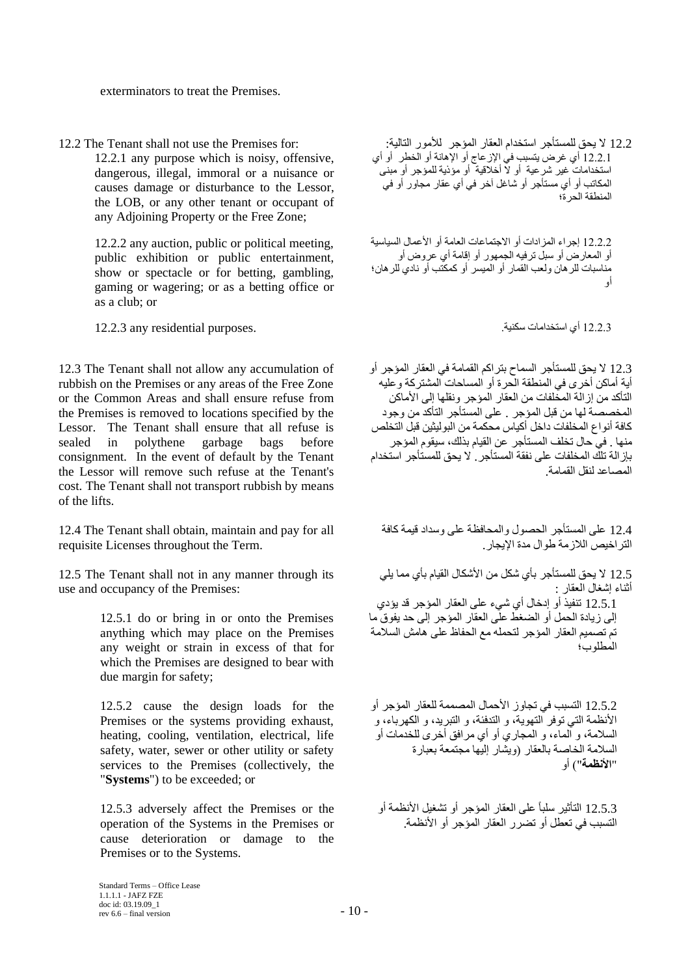exterminators to treat the Premises.

12.2.1 any purpose which is noisy, offensive, dangerous, illegal, immoral or a nuisance or causes damage or disturbance to the Lessor, the LOB, or any other tenant or occupant of any Adjoining Property or the Free Zone;

12.2.2 any auction, public or political meeting, public exhibition or public entertainment, show or spectacle or for betting, gambling, gaming or wagering; or as a betting office or as a club; or

12.2.3 أي استخدامات سكنية. .purposes residential any 12.2.3

12.3 The Tenant shall not allow any accumulation of rubbish on the Premises or any areas of the Free Zone or the Common Areas and shall ensure refuse from the Premises is removed to locations specified by the Lessor. The Tenant shall ensure that all refuse is sealed in polythene garbage bags before consignment. In the event of default by the Tenant the Lessor will remove such refuse at the Tenant's cost. The Tenant shall not transport rubbish by means of the lifts.

12.4 The Tenant shall obtain, maintain and pay for all requisite Licenses throughout the Term.

12.5 The Tenant shall not in any manner through its use and occupancy of the Premises:

> 12.5.1 do or bring in or onto the Premises anything which may place on the Premises any weight or strain in excess of that for which the Premises are designed to bear with due margin for safety;

> 12.5.2 cause the design loads for the Premises or the systems providing exhaust, heating, cooling, ventilation, electrical, life safety, water, sewer or other utility or safety services to the Premises (collectively, the "**Systems**") to be exceeded; or

> 12.5.3 adversely affect the Premises or the operation of the Systems in the Premises or cause deterioration or damage to the Premises or to the Systems.

12.2 لا يحق للمستأجر استخدام العقار المؤجر للأمور التالية: : :for Premises for: لا يحق للمستأجر استخدام العقار المؤجر للأمور التالية: 12.2.1 أي غرض يتسبب في اإلزعاج أو اإلهانة أو الخطر أو أي استخدامات غير شرعية أو ال أخالقية أو مؤذية للمؤجر أو مبنى المكاتب أو أي مستأجر أو شاغل آخر في أي عقار مجاور أو في المنطقة الحرة؛

> 12.2.2 إجراء المزادات أو الاجتماعات العامة أو الأعمال السياسية أو المعارض أو سبل ترفيه الجمهور أو إقامة أي عروض أو مناسبات للرهان ولعب القمار أو الميسر أو كمكتب أو نادي للرهان؛ أو

12.3 ال يحق للمستأجر السماح بتراكم القمامة في العقار المؤجر أو أية أماكن أخرى في المنطقة الحرة أو المساحات المشتركة وعليه التأكد من إزالة المخلفات من العقار المؤجر ونقلها إلى الأماكن المخصصة لها من قبل المؤجر . على المستأجر التأكد من وجود كافة أنواع المخلفات داخل أكياس محكمة من البوليثين قبل التخلص منها . في حال تخلف المستأجر عن القيام بذلك، سيقوم المؤجر بإزالة تلك المخلفات على نفقة المستأجر. ال يحق للمستأجر استخدام المصاعد لنقل القمامة.

12.4 على المستأجر الحصول والمحافظة على وسداد قيمة كافة التراخيص الالزمة طوال مدة اإليجار.

12.5 ال يحق للمستأجر بأي شكل من األشكال القيام بأي مما يلي أثناء إشغال العقار : 12.5.1 تنفيذ أو إدخال أي شيء على العقار المؤجر قد يؤدي إلى زيادة الحمل أو الضغط على العقار المؤجر إلى حد يفوق ما تم تصميم العقار المؤجر لتحمله مع الحفاظ على هامش السالمة المطلوب؛

12.5.2 التسبب في تجاوز األحمال المصممة للعقار المؤجر أو األنظمة التي توفر التهوية، و التدفئة، و التبريد، و الكهرباء، و السالمة، و الماء، و المجاري أو أي مرافق أخرى للخدمات أو السالمة الخاصة بالعقار )ويشار إليها مجتمعة بعبارة "**األنظمة**"( أو

12.5.3 التأثير سلباً على العقار المؤجر أو تشغيل األنظمة أو التسبب في تعطل أو تضرر العقار المؤجر أو األنظمة.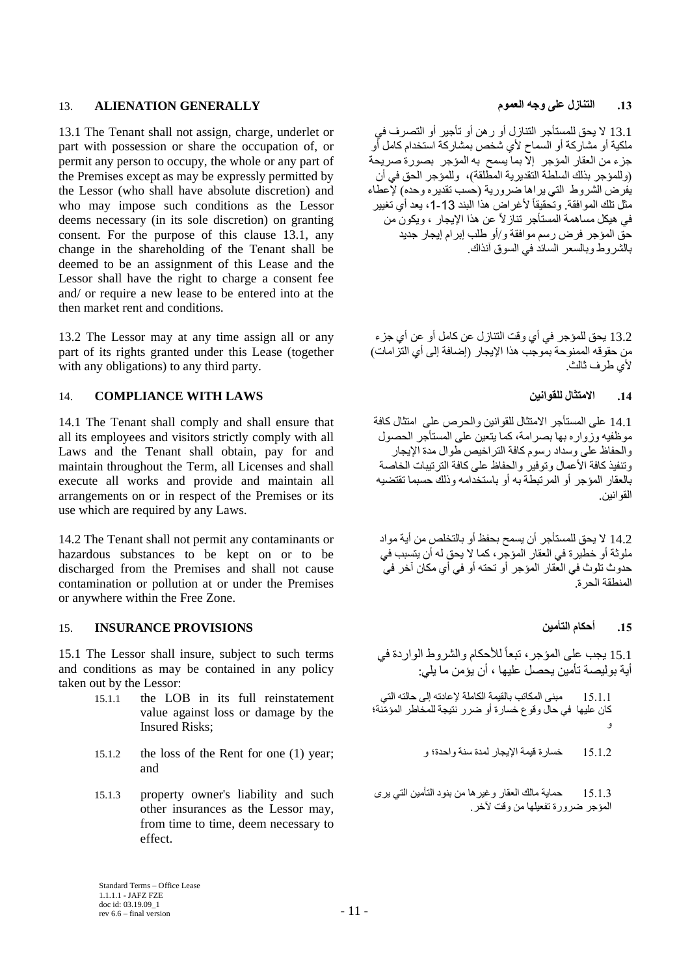# **.13 التنازل على وجه العموم GENERALLY ALIENATION** 13.

13.1 The Tenant shall not assign, charge, underlet or part with possession or share the occupation of, or permit any person to occupy, the whole or any part of the Premises except as may be expressly permitted by the Lessor (who shall have absolute discretion) and who may impose such conditions as the Lessor deems necessary (in its sole discretion) on granting consent. For the purpose of this clause 13.1, any change in the shareholding of the Tenant shall be deemed to be an assignment of this Lease and the Lessor shall have the right to charge a consent fee and/ or require a new lease to be entered into at the then market rent and conditions.

13.2 The Lessor may at any time assign all or any part of its rights granted under this Lease (together with any obligations) to any third party.

# 14. **COMPLIANCE WITH LAWS للقوانين االمتثال .14**

14.1 The Tenant shall comply and shall ensure that all its employees and visitors strictly comply with all Laws and the Tenant shall obtain, pay for and maintain throughout the Term, all Licenses and shall execute all works and provide and maintain all arrangements on or in respect of the Premises or its use which are required by any Laws.

14.2 The Tenant shall not permit any contaminants or hazardous substances to be kept on or to be discharged from the Premises and shall not cause contamination or pollution at or under the Premises or anywhere within the Free Zone.

# **.15 أحكام التأمين PROVISIONS INSURANCE** 15.

15.1 The Lessor shall insure, subject to such terms and conditions as may be contained in any policy taken out by the Lessor:

- 15.1.1 the LOB in its full reinstatement value against loss or damage by the Insured Risks;
- 15.1.2 the loss of the Rent for one (1) year; و واحدة؛ سنة لمدة اإليجار قيمة خسارة 15.1.2 and
- 15.1.3 property owner's liability and such other insurances as the Lessor may, from time to time, deem necessary to effect.

13.1 ال يحق للمستأجر التنازل أو رهن أو تأجير أو التصرف في ملكية أو مشاركة أو السماح ألي شخص بمشاركة استخدام كامل أو جزء من العقار المؤجر إال بما يسمح به المؤجر بصورة صريحة (وللمؤجر بذلك السلطة التقديرية المطلقة)، وللمؤجر الحق في أن يفرض الشروط التي يراها ضرورية (حسب تقديره وحده) لإعطاء مثل تلك الموافقة. وتحقيقاً لأغراض هذا البند 13-1، يعد أي تغيير في هيكل مساهمة المستأجر تنازالً عن هذا اإليجار ، ويكون من حق المؤجر فرض رسم موافقة و/أو طلب إبرام إيجار جديد بالشروط وبالسعر السائد في السوق آنذاك.

13.2 يحق للمؤجر في أي وقت التنازل عن كامل أو عن أي جزء من حقوقه الممنوحة بموجب هذا الإيجار (إضافة إلى أي التزامات) ألي طرف ثالث.

14.1 على المستأجر االمتثال للقوانين والحرص على امتثال كافة موظفيه وزواره بها بصرامة، كما يتعين على المستأجر الحصول والحفاظ على وسداد رسوم كافة التراخيص طوال مدة اإليجار وتنفيذ كافة الأعمال وتوفير والحفاظ على كافة التر تبيات الخاصة بالعقار المؤجر أو المرتبطة به أو باستخدامه وذلك حسبما تقتضيه القوانين.

14.2 ال يحق للمستأجر أن يسمح بحفظ أو بالتخلص من أية مواد ملوثة أو خطيرة في العقار المؤجر، كما ال يحق له أن يتسبب في حدوث تلوث في العقار المؤجر أو تحته أو في أي مكان آخر في المنطقة الحرة.

15.1 يجب على المؤجر ، تبعاً للأحكام والشروط الواردة في أية بوليصة تأمين يحصل عليها ، أن يؤمن ما يلي:

15.1.1 مبنى المكاتب بالقيمة الكاملة إلعادته إلى حالته التي كان عليها في حال وقوع خسارة أو ضرر نتيجة للمخاطر المؤ ّمنة؛ و

15.1.3 حماية مالك العقار وغيرها من بنود التأمين التي يرى المؤجر ضرورة تفعيلها من وقت آلخر.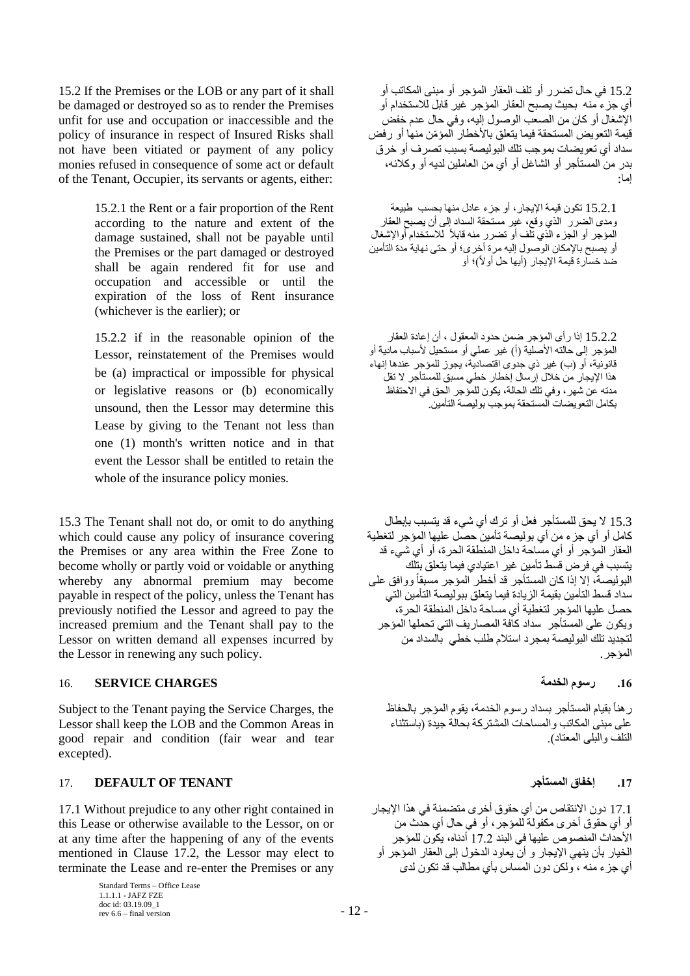15.2 If the Premises or the LOB or any part of it shall be damaged or destroyed so as to render the Premises unfit for use and occupation or inaccessible and the policy of insurance in respect of Insured Risks shall not have been vitiated or payment of any policy monies refused in consequence of some act or default of the Tenant, Occupier, its servants or agents, either:

> 15.2.1 the Rent or a fair proportion of the Rent according to the nature and extent of the damage sustained, shall not be payable until the Premises or the part damaged or destroyed shall be again rendered fit for use and occupation and accessible or until the expiration of the loss of Rent insurance (whichever is the earlier); or

> 15.2.2 if in the reasonable opinion of the Lessor, reinstatement of the Premises would be (a) impractical or impossible for physical or legislative reasons or (b) economically unsound, then the Lessor may determine this Lease by giving to the Tenant not less than one (1) month's written notice and in that event the Lessor shall be entitled to retain the whole of the insurance policy monies.

15.3 The Tenant shall not do, or omit to do anything which could cause any policy of insurance covering the Premises or any area within the Free Zone to become wholly or partly void or voidable or anything whereby any abnormal premium may become payable in respect of the policy, unless the Tenant has previously notified the Lessor and agreed to pay the increased premium and the Tenant shall pay to the Lessor on written demand all expenses incurred by the Lessor in renewing any such policy.

# **.16 رسوم الخدمة CHARGES SERVICE** 16.

Subject to the Tenant paying the Service Charges, the Lessor shall keep the LOB and the Common Areas in good repair and condition (fair wear and tear excepted).

# 17. **DEFAULT OF TENANT المستأجر إخفاق .17**

17.1 Without prejudice to any other right contained in this Lease or otherwise available to the Lessor, on or at any time after the happening of any of the events mentioned in Clause 17.2, the Lessor may elect to terminate the Lease and re-enter the Premises or any

> Standard Terms – Office Lease 1.1.1.1 - JAFZ FZE doc id: 03.19.09\_1 rev 6.6 – final version  $12$  –

15.2 في حال تضرر أو تلف العقار المؤجر أو مبنى المكاتب أو أي جزء منه بحيث يصبح العقار المؤجر غير قابل لالستخدام أو اإلشغال أو كان من الصعب الوصول إليه، وفي حال عدم خفض قيمة التعويض المستحقة فيما يتعلق بالأخطار المؤمّن منها أو رفض سداد أي تعويضات بموجب تلك البوليصة بسبب تصرف أو خرق بدر من المستأجر أو الشاغل أو أي من العاملين لديه أو وكالئه، إما:

15.2.1 تكون قيمة اإليجار، أو جزء عادل منها بحسب طبيعة ومدى الضرر الذي وقع، غير مستحقة السداد إلى أن يصبح العقار المؤجر أو الجزء الذي تلف أو تضرر منه قابلأ للاستخدام أوالإشغال أو يصبح باإلمكان الوصول إليه مرة أخرى؛ أو حتى نهاية مدة التأمين ضد خسارة قيمة الإيجار (أيها حل أولاً)؛ أو

15.2.2 إذا رأى المؤجر ضمن حدود المعقول ، أن إعادة العقار المؤجر إلى حالته الأصلية (أ) غير عملي أو مستحيل لأسباب مادية أو قانونية، أو (ب) غير ذي جدوى اقتصاديّة، يجوز للمؤجر عندها إنهاء هذا اإليجار من خالل إرسال إخطار خطي مسبق للمستأجر ال تقل مدته عن شهر، وفي تلك الحالة، يكون للمؤجر الحق في االحتفاظ بكامل التعويضات المستحقة بموجب بوليصة التأمين.

15.3 ال يحق للمستأجر فعل أو ترك أي شيء قد يتسبب بإبطال كامل أو أي جزء من أي بوليصة تأمين حصل عليها المؤجر لتغطية العقار المؤجر أو أي مساحة داخل المنطقة الحرة، أو أي شيء قد يتسبب في فرض قسط تأمين غير اعتيادي فيما يتعلق بتلك البوليصة، إال إذا كان المستأجر قد أخطر المؤجر مسبقاً ووافق على سداد قسط التأمين بقيمة الزيادة فيما يتعلق ببوليصة التأمين التي حصل عليها المؤجر لتغطية أي مساحة داخل المنطقة الحرة، ويكون على المستأجر سداد كافة المصاريف التي تحملها المؤجر لتجديد تلك البوليصة بمجرد استالم طلب خطي بالسداد من المؤجر.

رهناً بقيام المستأجر بسداد رسوم الخدمة، يقوم المؤجر بالحفاظ على مبنى المكاتب والمساحات المشتركة بحالة جيدة )باستثناء التلف والبلى المعتاد(.

17.1 دون االنتقاص من أي حقوق أخرى متضمنة في هذا اإليجار أو أي حقوق أخرى مكفولة للمؤجر، أو في حال أي حدث من األحداث المنصوص عليها في البند 17.2 أدناه، يكون للمؤجر الخيار بأن ينهي اإليجار و أن يعاود الدخول إلى العقار المؤجر أو أي جزء منه ، ولكن دون المساس بأي مطالب قد تكون لدى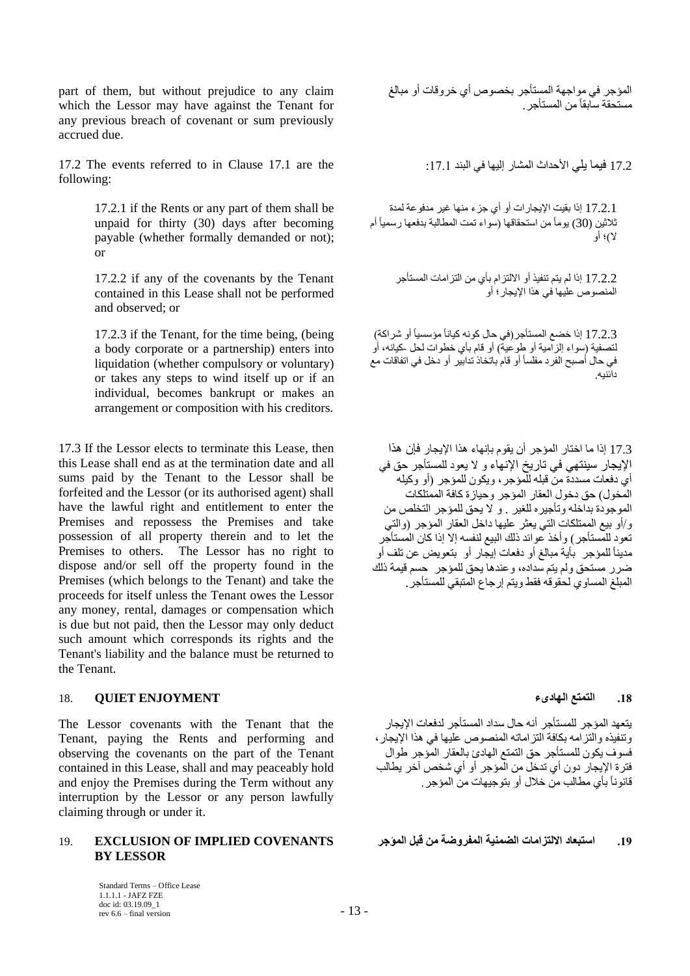part of them, but without prejudice to any claim which the Lessor may have against the Tenant for any previous breach of covenant or sum previously accrued due.

 $17.2$  The events referred to in Clause  $17.1$  are the following:

> 17.2.1 if the Rents or any part of them shall be unpaid for thirty (30) days after becoming payable (whether formally demanded or not); or

> 17.2.2 if any of the covenants by the Tenant contained in this Lease shall not be performed and observed; or

> 17.2.3 if the Tenant, for the time being, (being a body corporate or a partnership) enters into liquidation (whether compulsory or voluntary) or takes any steps to wind itself up or if an individual, becomes bankrupt or makes an arrangement or composition with his creditors.

17.3 If the Lessor elects to terminate this Lease, then this Lease shall end as at the termination date and all sums paid by the Tenant to the Lessor shall be forfeited and the Lessor (or its authorised agent) shall have the lawful right and entitlement to enter the Premises and repossess the Premises and take possession of all property therein and to let the Premises to others. The Lessor has no right to dispose and/or sell off the property found in the Premises (which belongs to the Tenant) and take the proceeds for itself unless the Tenant owes the Lessor any money, rental, damages or compensation which is due but not paid, then the Lessor may only deduct such amount which corresponds its rights and the Tenant's liability and the balance must be returned to the Tenant.

# **.18 التمتع الهادىء ENJOYMENT QUIET** 18.

The Lessor covenants with the Tenant that the Tenant, paying the Rents and performing and observing the covenants on the part of the Tenant contained in this Lease, shall and may peaceably hold and enjoy the Premises during the Term without any interruption by the Lessor or any person lawfully claiming through or under it.

## **.19 استبعاد االلتزامات الضمنية المفروضة من قبل المؤجر COVENANTS IMPLIED OF EXCLUSION** 19. **BY LESSOR**

Standard Terms – Office Lease 1.1.1.1 - JAFZ FZE doc id: 03.19.09\_1 rev 6.6 – final version  $-13$  –

| مستحقة سابقاً من المستأجر .                                                                                                                                                                                                                                                                                                                                                                                                                                                                                |
|------------------------------------------------------------------------------------------------------------------------------------------------------------------------------------------------------------------------------------------------------------------------------------------------------------------------------------------------------------------------------------------------------------------------------------------------------------------------------------------------------------|
| 17.2 فيما يلي الأحداث المشار إليها في البند 17.1:                                                                                                                                                                                                                                                                                                                                                                                                                                                          |
| 17.2.1 إذا بقيت الإيجارات أو أي جزء منها غير مدفوعة لمدة<br>ثلاثين (30) يومأ من استحقاقها (سواء تمت المطالبة بدفعها رسميأ أم<br>لا)؛ أو                                                                                                                                                                                                                                                                                                                                                                    |
| 17.2.2 إذا لم يتم تنفيذ أو الالتزام بأي من التزامات المستأجر<br>المنصوص عليها في هذا الإيجار ؛ أو                                                                                                                                                                                                                                                                                                                                                                                                          |
| 17.2.3 إذا خضع المستأجر (في حال كونه كياناً مؤسسياً أو شراكة)<br>لتصفية (سواء الزامية أو طوعية) أو قام بأي خطوات لحل حكيانه، أو<br>في حال أصبح الفرد مفلساً أو قام باتخاذ تدابير أو دخل في اتفاقات مع<br>دائنيه.                                                                                                                                                                                                                                                                                           |
| 17.3 إذا ما اختار المؤجر أن يقوم بإنهاء هذا الإيجار فإن هذا<br>الإيجار سينتهي في تاريخ الإنهاء و لا يعود للمستأجر حق في<br>أي دفعات مسددة من قبله للمؤجر ، ويكون للمؤجر (أو وكيله<br>المخول) حق دخول العقار المؤجر وحيازة كافة الممتلكات<br>الموجودة بداخله وتأجيره للغير ¸و لا يحق للمؤجر التخلص من<br>و/أو بيع الممتلكات التي يعثر عليها داخل العقار المؤجر (والتي<br>تعود للمستأجر ) وأخذ عوائد ذلك البيع لنفسه إلا إذا كان المستأجر<br>مديناً للمؤجر ۖ بأية مبالغ أو دفعات إيجار أو ۖ بتعويض عن تلف أو |

المؤجر في مواجهة المستأجر بخصوص أي خروقات أو مبالغ

يتعهد المؤجر للمستأجر أنه حال سداد المستأجر لدفعات اإليجار وتنفيذه والتزامه بكافة التزاماته المنصوص عليها في هذا اإليجار، فسوف يكون للمستأجر حق التمتع الهادئ بالعقار المؤجر طوال فترة اإليجار دون أي تدخل من المؤجر أو أي شخص آخر يطالب قانوناً بأي مطالب من خالل أو بتوجيهات من المؤجر.

ضرر مستحق ولم يتم سداده، وعندها يحق للمؤجر حسم قيمة ذلك المبلغ المساوي لحقوقه فقط ويتم إرجاع المتبقي للمستأجر.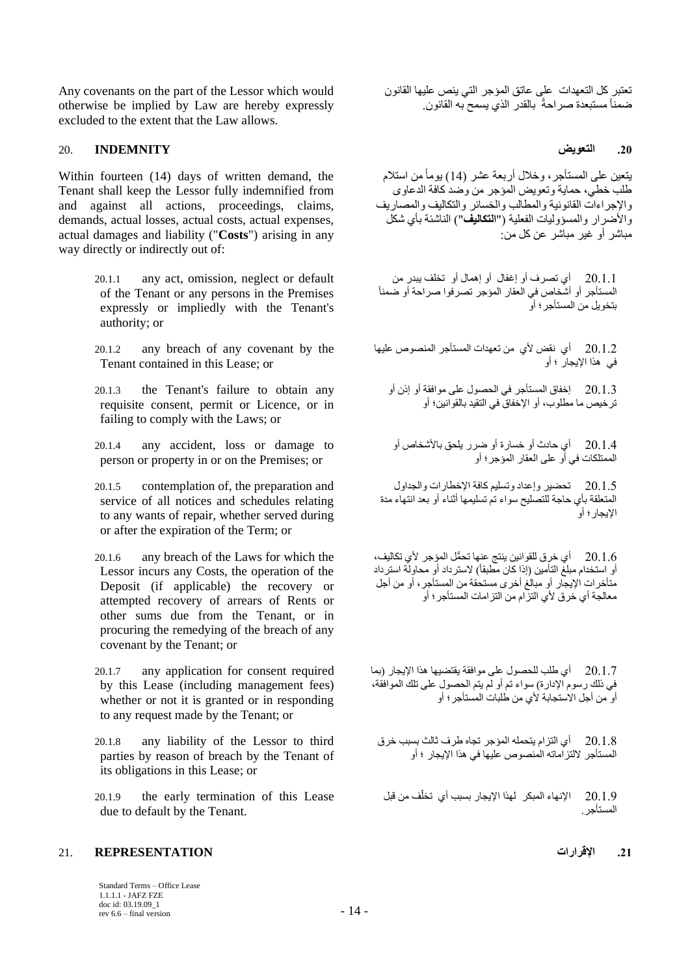Any covenants on the part of the Lessor which would otherwise be implied by Law are hereby expressly excluded to the extent that the Law allows.

### **.20 التعويض INDEMNITY** 20.

Within fourteen (14) days of written demand, the Tenant shall keep the Lessor fully indemnified from and against all actions, proceedings, claims, demands, actual losses, actual costs, actual expenses, actual damages and liability ("**Costs**") arising in any way directly or indirectly out of:

- 20.1.1 any act, omission, neglect or default of the Tenant or any persons in the Premises expressly or impliedly with the Tenant's authority; or
- 20.1.2 any breach of any covenant by the Tenant contained in this Lease; or
- 20.1.3 the Tenant's failure to obtain any requisite consent, permit or Licence, or in failing to comply with the Laws; or
- 20.1.4 any accident, loss or damage to person or property in or on the Premises; or
- 20.1.5 contemplation of, the preparation and service of all notices and schedules relating to any wants of repair, whether served during or after the expiration of the Term; or
- 20.1.6 any breach of the Laws for which the Lessor incurs any Costs, the operation of the Deposit (if applicable) the recovery or attempted recovery of arrears of Rents or other sums due from the Tenant, or in procuring the remedying of the breach of any covenant by the Tenant; or
- 20.1.7 any application for consent required by this Lease (including management fees) whether or not it is granted or in responding to any request made by the Tenant; or
- 20.1.8 any liability of the Lessor to third parties by reason of breach by the Tenant of its obligations in this Lease; or
- 20.1.9 the early termination of this Lease due to default by the Tenant.

### **.21 اإلقرارات REPRESENTATION** 21.

Standard Terms – Office Lease 1.1.1.1 - JAFZ FZE doc id: 03.19.09\_1 rev 6.6 – final version  $14 - 14$  تعتبر كل التعهدات على عاتق المؤجر التي ينص عليها القانون ضمناً مستبعدة صراحةً بالقدر الذي يسمح به القانون.

يتعين على المستأجر، وخالل أربعة عشر )14( يوماًمن استالم طلب خطي، حماية وتعويض المؤجر من وضد كافة الدعاوى واإلجراءات القانونية والمطالب والخسائر والتكاليف والمصاريف والأضرار والمسؤوليات الفعلية ("ا**لتكاليف**") الناشئة بأي شكل مباشر أو غير مباشر عن كل من:

20.1.1 أي تصرف أو إغفال أو إهمال أو تخلف يبدر من المستأجر أو أشخاص في العقار المؤجر تصرفوا صراحة أو ضمناً بتخويل من المستأجر؛ أو

20.1.2 أي نقض ألي من تعهدات المستأجر المنصوص عليها في هذا اإليجار ؛ أو

20.1.3 إخفاق المستأجر في الحصول على موافقة أو إذن أو ترخيص ما مطلوب، أو اإلخفاق في التقيد بالقوانين؛ أو

20.1.4 أي حادث أو خسارة أو ضرر يلحق باألشخاص أو الممتلكات في أو على العقار المؤجر؛ أو

20.1.5 تحضير وإعداد وتسليم كافة اإلخطارات والجداول المتعلقة بأي حاجة للتصليح سواء تم تسليمها أثناء أو بعد انتهاء مدة اإليجار؛ أو

20.1.6 أي خرق للقوانين ينتج عنها تح ُّمل المؤجر ألي تكاليف، أو استخدام مبلغ التأمين (إذا كان مطبقاً) لاسترداد أو محاولة استرداد متأخرات اإليجار أو مبالغ أخرى مستحقة من المستأجر، أو من أجل معالجة أي خرق ألي التزام من التزامات المستأجر؛ أو

20.1.7 أي طلب للحصول على موافقة يقتضيها هذا اإليجار )بما في ذلك رسوم اإلدارة( سواء تم أو لم يتم الحصول على تلك الموافقة، أو من أجل الاستجابة لأي من طلبات المستأجر؛ أو

20.1.8 أي التزام يتحمله المؤجر تجاه طرف ثالث بسبب خرق المستأجر اللتزاماته المنصوص عليها في هذا اإليجار ؛ أو

20.1.9 الإنهاء المبكر لهذا الإيجار بسبب أي تخلّف من قبل المستأجر.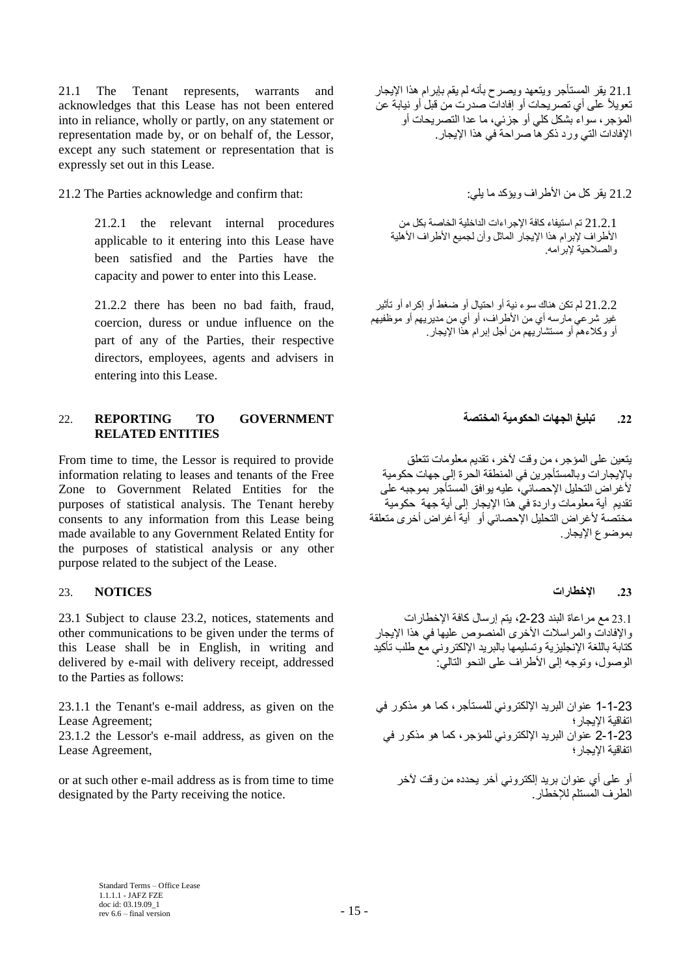21.1 The Tenant represents, warrants and acknowledges that this Lease has not been entered into in reliance, wholly or partly, on any statement or representation made by, or on behalf of, the Lessor, except any such statement or representation that is expressly set out in this Lease.

# 21.2 يقر كل من الأطراف ويؤكد ما يلي: : :the Parties acknowledge and confirm that:

21.2.1 the relevant internal procedures applicable to it entering into this Lease have been satisfied and the Parties have the capacity and power to enter into this Lease.

21.2.2 there has been no bad faith, fraud, coercion, duress or undue influence on the part of any of the Parties, their respective directors, employees, agents and advisers in entering into this Lease.

# **.22 تبليغ الجهات الحكومية المختصة GOVERNMENT TO REPORTING** 22. **RELATED ENTITIES**

From time to time, the Lessor is required to provide information relating to leases and tenants of the Free Zone to Government Related Entities for the purposes of statistical analysis. The Tenant hereby consents to any information from this Lease being made available to any Government Related Entity for the purposes of statistical analysis or any other purpose related to the subject of the Lease.

# **.23 اإلخطارات NOTICES** 23.

23.1 Subject to clause 23.2, notices, statements and other communications to be given under the terms of this Lease shall be in English, in writing and delivered by e-mail with delivery receipt, addressed to the Parties as follows:

23.1.1 the Tenant's e-mail address, as given on the Lease Agreement;

23.1.2 the Lessor's e-mail address, as given on the Lease Agreement,

or at such other e-mail address as is from time to time designated by the Party receiving the notice.

21.1 يقر المستأجر ويتعهد ويصرح بأنه لم يقم بإبرام هذا اإليجار تعويالً على أي تصريحات أو إفادات صدرت من قبل أو نيابة عن المؤجر، سواء بشكل كلي أو جزئي، ما عدا التصريحات أو اإلفادات التي ورد ذكرها صراحة في هذا اإليجار.

21.2.1 تم استيفاء كافة اإلجراءات الداخلية الخاصة بكل من الأطراف لإبرام هذا الإيجار الماثل وأن لجميع الأطراف الأهلية والصالحية إلبرامه.

21.2.2 لم تكن هناك سوء نية أو احتيال أو ضغط أو إكراه أو تأثير غير شرعي مارسه أي من الأطراف، أو أي من مديريهم أو موظفيهم أو وكالءهم أو مستشاريهم من أجل إبرام هذا اإليجار.

يتعين على المؤجر، من وقت آلخر، تقديم معلومات تتعلق باإليجارات وبالمستأجرين في المنطقة الحرة إلى جهات حكومية ألغراض التحليل اإلحصائي، عليه يوافق المستأجر بموجبه على تقديم أية معلومات واردة في هذا اإليجار إلى أية جهة حكومية مختصة ألغراض التحليل اإلحصائي أو أية أغراض أخرى متعلقة بموضوع اإليجار.

23.1 مع مراعاة البند ،2-23 يتم إرسال كافة اإلخطارات والإفادات والمراسلات الأخرى المنصوص عليها في هذا الإيجار كتابة باللغة اإلنجليزية وتسليمها بالبريد اإللكتروني مع طلب تأكيد الوصول، وتوجه إلى الأطر اف على النحو التالي: "

1-1-23 عنوان البريد اإللكتروني للمستأجر، كما هو مذكور في اتفاقية اإليجار؛ 2-1-23 عنوان البريد اإللكتروني للمؤجر، كما هو مذكور في اتفاقية اإليجار؛

أو على أي عنوان بريد إلكتروني آخر يحدده من وقت آلخر الطرف المستلم لإلخطار.

Standard Terms – Office Lease 1.1.1.1 - JAFZ FZE doc id: 03.19.09\_1 rev 6.6 – final version  $-15$  –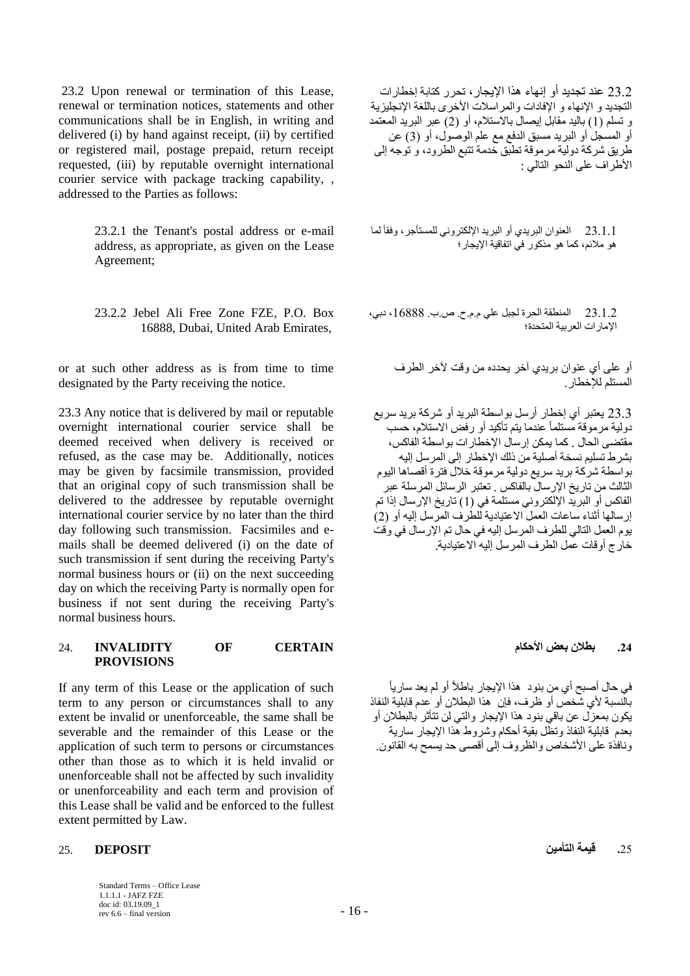23.2 Upon renewal or termination of this Lease, renewal or termination notices, statements and other communications shall be in English, in writing and delivered (i) by hand against receipt, (ii) by certified or registered mail, postage prepaid, return receipt requested, (iii) by reputable overnight international courier service with package tracking capability, , addressed to the Parties as follows:

> 23.2.1 the Tenant's postal address or e-mail address, as appropriate, as given on the Lease Agreement;

> 23.2.2 Jebel Ali Free Zone FZE, P.O. Box 16888, Dubai, United Arab Emirates,

or at such other address as is from time to time designated by the Party receiving the notice.

23.3 Any notice that is delivered by mail or reputable overnight international courier service shall be deemed received when delivery is received or refused, as the case may be. Additionally, notices may be given by facsimile transmission, provided that an original copy of such transmission shall be delivered to the addressee by reputable overnight international courier service by no later than the third day following such transmission. Facsimiles and emails shall be deemed delivered (i) on the date of such transmission if sent during the receiving Party's normal business hours or (ii) on the next succeeding day on which the receiving Party is normally open for business if not sent during the receiving Party's normal business hours.

## **.24 بطالن بعض األحكام CERTAIN OF INVALIDITY** 24. **PROVISIONS**

If any term of this Lease or the application of such term to any person or circumstances shall to any extent be invalid or unenforceable, the same shall be severable and the remainder of this Lease or the application of such term to persons or circumstances other than those as to which it is held invalid or unenforceable shall not be affected by such invalidity or unenforceability and each term and provision of this Lease shall be valid and be enforced to the fullest extent permitted by Law.

### **.**25 **قيمة التأمين DEPOSIT** 25.

Standard Terms – Office Lease 1.1.1.1 - JAFZ FZE doc id: 03.19.09\_1 rev 6.6 – final version  $16 - 16$  –

23.2 عند تجديد أو إنهاء هذا اإليجار، تحرر كتابة إخطارات التجديد و الإنهاء و الإفادات والمراسلات الأخرى باللغة الإنجليزية و تسلم (1) باليد مقابل إيصال بالاستلام، أو (2) عبر البريد المعتمد أو المسجل أو البريد مسبق الدفع مع علم الوصول، أو )3( عن طريق شركة دولية مرموقة تطبق خدمة تتبع الطرود، و توجه إلى األطراف على النحو التالي :

لما 23.1.1 العنوان البريدي أو البريد اإللكتروني للمستأجر، وفقاً هو مالئم، كما هو مذكور في اتفاقية اإليجار؛

23.1.2 المنطقة الحرة لجبل علي م.م.ح. ص.ب. ،16888 دبي، اإلمارات العربية المتحدة؛

أو على أي عنوان بريدي آخر يحدده من وقت آلخر الطرف المستلم لإلخطار.

23.3 يعتبر أي إخطار أرسل بواسطة البريد أو شركة بريد سريع دولية مرموقة مستلماً عندما يتم تأكيد أو رفض االستالم، حسب مقتضى الحال . كما يمكن إرسال اإلخطارات بواسطة الفاكس، بشرط تسليم نسخة أصلية من ذلك اإلخطار إلى المرسل إليه بواسطة شركة بريد سريع دولية مرموقة خالل فترة أقصاها اليوم الثالث من تاريخ اإلرسال بالفاكس . تعتبر الرسائل المرسلة عبر الفاكس أو البريد الإلكتروني مستلّمة في (1) تاريخ الإرسال إذا تم إرسالها أثناء ساعات العمل االعتيادية للطرف المرسل إليه أو )2( يوم العمل التالي للطرف المرسل إليه في حال تم اإلرسال في وقت خارج أوقات عمل الطرف المرسل إليه االعتيادية.

في حال أصبح أي من بنود هذا الإيجار باطلاً أو لم يعد سارياً بالنسبة ألي شخص أو ظرف، فإن هذا البطالن أو عدم قابلية النفاذ يكون بمعزل عن باقي بنود هذا اإليجار والتي لن تتأثر بالبطالن أو بعدم قابلية النفاذ وتظل بقية أحكام وشروط هذا اإليجار سارية ونافذة على الأشخاص والظروف إلى أقصى حد يسمح به القانون.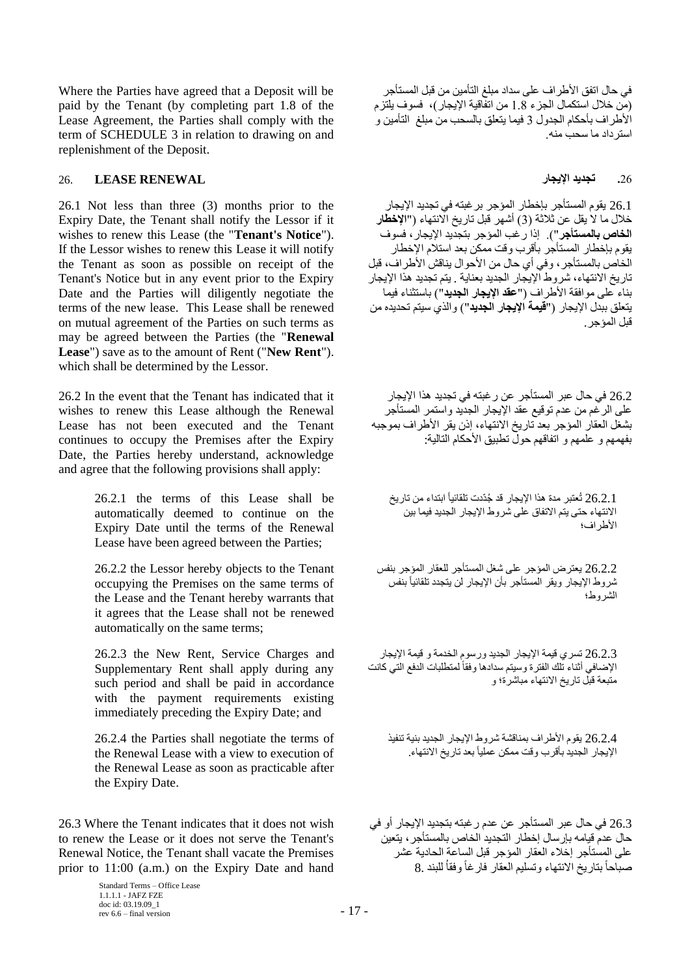Where the Parties have agreed that a Deposit will be paid by the Tenant (by completing part 1.8 of the Lease Agreement, the Parties shall comply with the term of SCHEDULE 3 in relation to drawing on and replenishment of the Deposit.

# <span id="page-16-0"></span>**.**26 **تجديد اإليجار RENEWAL LEASE** 26.

26.1 Not less than three (3) months prior to the Expiry Date, the Tenant shall notify the Lessor if it wishes to renew this Lease (the "**Tenant's Notice**"). If the Lessor wishes to renew this Lease it will notify the Tenant as soon as possible on receipt of the Tenant's Notice but in any event prior to the Expiry Date and the Parties will diligently negotiate the terms of the new lease. This Lease shall be renewed on mutual agreement of the Parties on such terms as may be agreed between the Parties (the "**Renewal Lease**") save as to the amount of Rent ("**New Rent**"). which shall be determined by the Lessor.

26.2 In the event that the Tenant has indicated that it wishes to renew this Lease although the Renewal Lease has not been executed and the Tenant continues to occupy the Premises after the Expiry Date, the Parties hereby understand, acknowledge and agree that the following provisions shall apply:

> 26.2.1 the terms of this Lease shall be automatically deemed to continue on the Expiry Date until the terms of the Renewal Lease have been agreed between the Parties;

> 26.2.2 the Lessor hereby objects to the Tenant occupying the Premises on the same terms of the Lease and the Tenant hereby warrants that it agrees that the Lease shall not be renewed automatically on the same terms;

> 26.2.3 the New Rent, Service Charges and Supplementary Rent shall apply during any such period and shall be paid in accordance with the payment requirements existing immediately preceding the Expiry Date; and

> 26.2.4 the Parties shall negotiate the terms of the Renewal Lease with a view to execution of the Renewal Lease as soon as practicable after the Expiry Date.

26.3 Where the Tenant indicates that it does not wish to renew the Lease or it does not serve the Tenant's Renewal Notice, the Tenant shall vacate the Premises prior to 11:00 (a.m.) on the Expiry Date and hand

> Standard Terms – Office Lease 1.1.1.1 - JAFZ FZE doc id: 03.19.09\_1 rev 6.6 – final version  $17 - 17$

في حال اتفق األطراف على سداد مبلغ التأمين من قبل المستأجر )من خالل استكمال الجزء 1.8 من اتفاقية اإليجار(، فسوف يلتزم األطراف بأحكام الجدول 3 فيما يتعلق بالسحب من مبلغ التأمين و استرداد ما سحب منه.

26.1 يقوم المستأجر بإخطار المؤجر برغبته في تجديد اإليجار خالل ما ال يقل عن ثالثة )3( أشهر قبل تاريخ االنتهاء )"**اإلخطار الخاص بالمستأجر**"(. إذا رغب المؤجر بتجديد اإليجار، فسوف يقوم بإخطار المستأجر بأقرب وقت ممكن بعد استالم اإلخطار الخاص بالمستأجر ، وفي أي حال من الأحوال يناقش الأطراف، قبل تاريخ االنتهاء، شروط اإليجار الجديد بعناية . يتم تجديد هذا اإليجار بناء على موافقة األطراف )"**عقد اإليجار الجديد**"( باستثناء فيما يتعلق ببدل اإليجار )"**قيمة اإليجار الجديد**"( والذي سيتم تحديده من قبل المؤجر.

26.2 في حال عبر المستأجر عن رغبته في تجديد هذا اإليجار على الرغم من عدم توقيع عقد اإليجار الجديد واستمر المستأجر بشغل العقار المؤجر بعد تاريخ االنتهاء، إذن يقر األطراف بموجبه بفهمهم و علمهم و اتفاقهم حول تطبيق األحكام التالية:

26.2.1 تُعتبر مدة هذا الإيجار قد جُدّدت تلقائياً ابتداء من تاريخ االنتهاء حتى يتم االتفاق على شروط اإليجار الجديد فيما بين األطراف؛

26.2.2 يعترض المؤجر على شغل المستأجر للعقار المؤجر بنفس نْنروط الإيجار ويقر المستأجر بأن الإيجار لن يتجدد تلقائياً بنفس الشروط؛

26.2.3 تسري قيمة اإليجار الجديد ورسوم الخدمة و قيمة اإليجار الإضافي أثناء تلك الفترة وسيتم سدادها وفقاً لمتطلبات الدفع التي كانت متبعة قبل تا ريخ االنتهاء مباشرة؛ و

26.2.4 يقوم األطراف بمناقشة شروط اإليجار الجديد بنية تنفيذ الإيجار الجديد بأقرب وقت ممكن عملياً بعد تاريخ الانتهاء.

26.3 في حال عبر المستأجر عن عدم رغبته بتجديد اإليجار أو في حال عدم قيامه بإرسال إخطار التجديد الخاص بالمستأجر، يتعين على المستأجر إخالء العقار المؤجر قبل الساعة الحادية عشر صباحاً بتاريخ االنتهاء وتسليم العقار فارغاً وفقاُ للبند 8.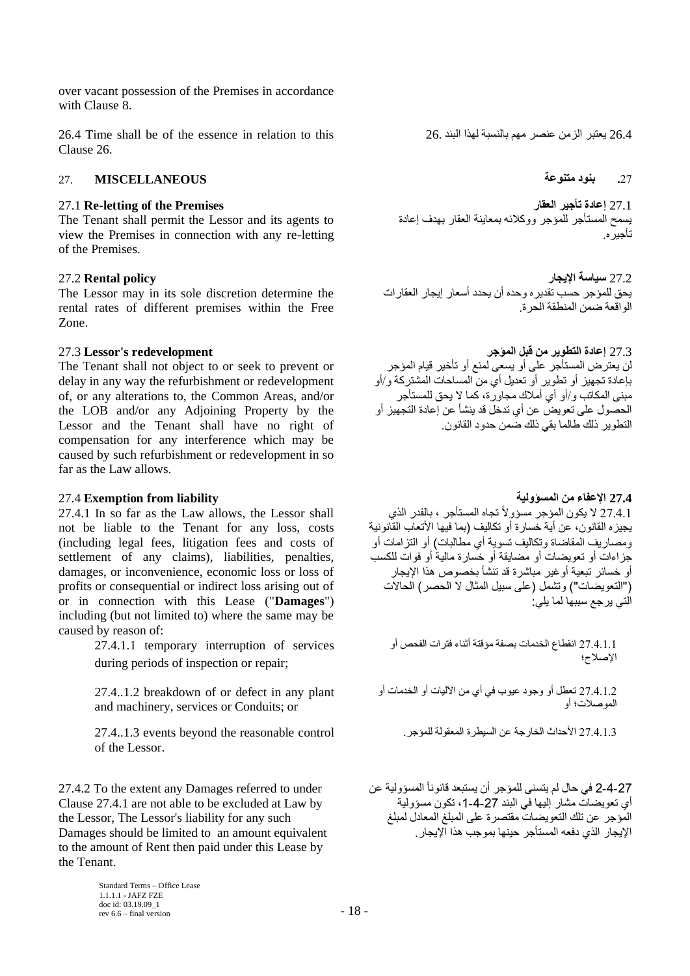over vacant possession of the Premises in accordance with Clause [8.](#page-6-0)

26.4 Time shall be of the essence in relation to this 26. البند لهذا بالنسبة مهم عنصر الزمن يعتبر 26.4 Clause [26.](#page-16-0)

# **.**27 **بنود متنوعة MISCELLANEOUS** 27.

The Tenant shall permit the Lessor and its agents to view the Premises in connection with any re-letting of the Premises.

The Lessor may in its sole discretion determine the rental rates of different premises within the Free Zone.

The Tenant shall not object to or seek to prevent or delay in any way the refurbishment or redevelopment of, or any alterations to, the Common Areas, and/or the LOB and/or any Adjoining Property by the Lessor and the Tenant shall have no right of compensation for any interference which may be caused by such refurbishment or redevelopment in so far as the Law allows.

## **27.4 اإلعفاء من المسؤولية liability from Exemption** 27.4

27.4.1 In so far as the Law allows, the Lessor shall not be liable to the Tenant for any loss, costs (including legal fees, litigation fees and costs of settlement of any claims), liabilities, penalties, damages, or inconvenience, economic loss or loss of profits or consequential or indirect loss arising out of or in connection with this Lease ("**Damages**") including (but not limited to) where the same may be caused by reason of:

> 27.4.1.1 temporary interruption of services during periods of inspection or repair;

> 27.4..1.2 breakdown of or defect in any plant and machinery, services or Conduits; or

27.4.1.3 األحداث الخارجة عن السيطرة المعقولة للمؤجر. control reasonable the beyond events 27.4..1.3 of the Lessor.

27.4.2 To the extent any Damages referred to under Clause 27.4.1 are not able to be excluded at Law by the Lessor, The Lessor's liability for any such Damages should be limited to an amount equivalent to the amount of Rent then paid under this Lease by the Tenant.

27.1 **Re-letting of the Premises العقار تأجير إعادة** 27.1 يسمح المستأجر للمؤجر ووكالئه بمعاينة العقار بهدف إعادة تأجيره.

27.2 **سياسة اإليجار policy Rental** 27.2 يحق للمؤجر حسب تقديره وحده أن يحدد أسعار إيجار العقارات الواقعة ضمن المنطقة الحرة.

27.3 **إعادة التطوير من قبل المؤجر redevelopment s'Lessor** 27.3 لن يعترض المستأجر على أو يسعى لمنع أو تأخير قيام المؤجر بإعادة تجهيز أو تطوير أو تعديل أي من المساحات المشتركة و/أو مبنى المكاتب و/أو أي أمالك مجاورة، كما ال يحق للمستأجر الحصول على تعويض عن أي تدخل قد ينشأ عن إعادة التجهيز أو التطوير ذلك طالما بقي ذلك ضمن حدود القانون.

27.4.1 لا يكون المؤجر مسؤولاً تجاه المستأجر ، بالقدر الذي يجيزه القانون، عن أية خسارة أو تكاليف )بما فيها األتعاب القانونية ومصـار يف المقاضـاة و تكاليف تسوية أي مطالبات) أو التز امـات أو جزاءات أو تعويضات أو مضايقة أو خسارة مالية أو فوات للكسب أو خسائر تبعية أوغير مباشرة قد تنشأ بخصوص هذا اإليجار ("التعويضات") وتشمل (على سبيل المثال لا الحصر) الحالات التي يرجع سببها لما يلي:

27.4.1.1 انقطاع الخدمات بصفة مؤقتة أثناء فترات الفحص أو اإلصالح؛

27.4.1.2 تعطل أو وجود عيوب في أي من اآلليات أو الخدمات أو الموصالت؛ أو

2-4-2 في حال لم يتسنى للمؤجر أن يستبعد قانوناً المسؤولية عن أي تعويضات مشار إليها في البند 27-4-1، تكون مسؤولية المؤجر عن تلك التعويضات مقتصرة على المبلغ المعادل لمبلغ اإليجار الذي دفعه المستأجر حينها بموجب هذا اإليجار.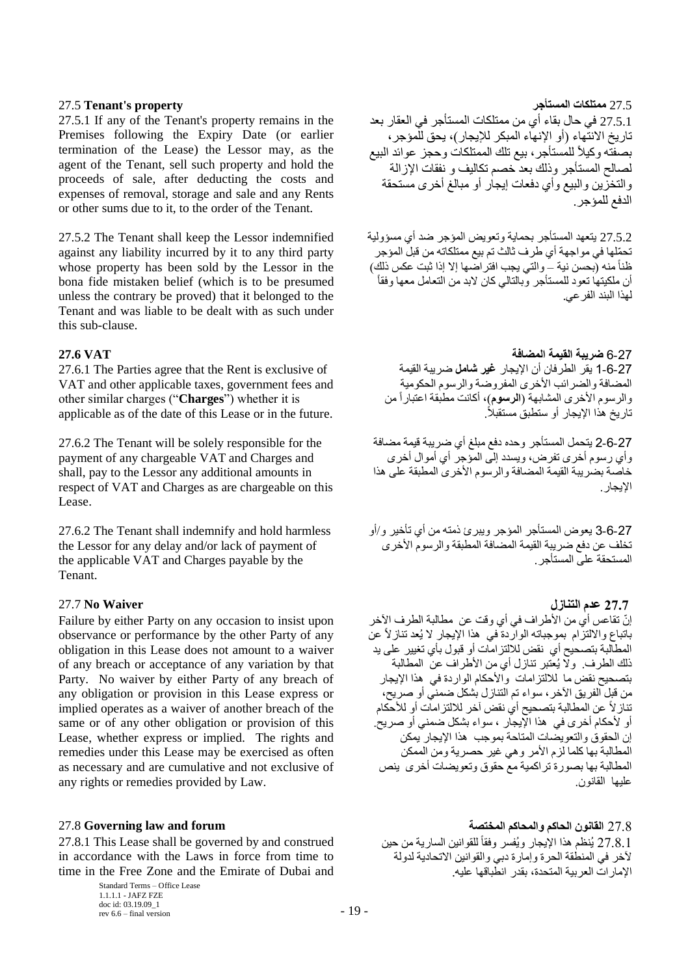# 27.5 **Tenant's property المستأجر ممتلكات** 27.5

27.5.1 If any of the Tenant's property remains in the Premises following the Expiry Date (or earlier termination of the Lease) the Lessor may, as the agent of the Tenant, sell such property and hold the proceeds of sale, after deducting the costs and expenses of removal, storage and sale and any Rents or other sums due to it, to the order of the Tenant.

27.5.2 The Tenant shall keep the Lessor indemnified against any liability incurred by it to any third party whose property has been sold by the Lessor in the bona fide mistaken belief (which is to be presumed unless the contrary be proved) that it belonged to the Tenant and was liable to be dealt with as such under this sub-clause.

27.6.1 The Parties agree that the Rent is exclusive of VAT and other applicable taxes, government fees and other similar charges ("**Charges**") whether it is applicable as of the date of this Lease or in the future.

27.6.2 The Tenant will be solely responsible for the payment of any chargeable VAT and Charges and shall, pay to the Lessor any additional amounts in respect of VAT and Charges as are chargeable on this Lease.

27.6.2 The Tenant shall indemnify and hold harmless the Lessor for any delay and/or lack of payment of the applicable VAT and Charges payable by the Tenant.

## **27.7 عدم التنازل Waiver No** 27.7

Failure by either Party on any occasion to insist upon observance or performance by the other Party of any obligation in this Lease does not amount to a waiver of any breach or acceptance of any variation by that Party. No waiver by either Party of any breach of any obligation or provision in this Lease express or implied operates as a waiver of another breach of the same or of any other obligation or provision of this Lease, whether express or implied. The rights and remedies under this Lease may be exercised as often as necessary and are cumulative and not exclusive of any rights or remedies provided by Law.

27.8.1 This Lease shall be governed by and construed in accordance with the Laws in force from time to time in the Free Zone and the Emirate of Dubai and

> Standard Terms – Office Lease 1.1.1.1 - JAFZ FZE doc id: 03.19.09\_1 rev 6.6 – final version  $-19$  –

27.5.1 في حال بقاء أي من ممتلكات المستأجر في العقار بعد تاريخ الانتهاء (أو الإنهاء المبكر للإيجار)، يحق للمؤجر، بصفته وكيلأ للمستأجر، بيع نلك الممتلكات وحجز عوائد البيع لصالح المستأجر وذلك بعد خصم تكاليف و نفقات اإلزالة والتخزين والبيع وأي دفعات إيجار أو مبالغ أخرى مستحقة الدفع للمؤجر .

27.5.2 يتعهد المستأجر بحماية وتعويض المؤجر ضد أي مسؤولية تح ّملها في مواجهة أي طرف ثالث تم بيع ممتلكاته من قبل المؤجر ظناً منه (بحسن نية – والتي يجب افتراضها إلا إذا ثبت عكس ذلك) أن ملكيتها تعود للمستأجر وبالتالي كان لابد من التعامل معها وفقاً لهذا البند الفرعي.

# 6-27 **ضريبة القيمة المضافة VAT 27.6**

1-6-27 يقر الطرفان أن اإليجار **غير شامل** ضريبة القيمة المضافة والضرائب الأخرى المفروضة والرسوم الحكومية والرسوم الأخرى المشابهة (ا**لرسوم**)، أكانت مطبقة اعتباراً من تار بخ هذا الإبجار أو ستطبقَ مستقبلاً .

2-6-27 يتحمل المستأجر وحده دفع مبلغ أي ضريبة قيمة مضافة وأي رسوم أخرى تفرض، ويسدد إلى المؤجر أي أموال أخرى خاصة بضريبة القيمة المضافة والرسوم الأخرى المطبقة على هذا الإيجار .

3-6-27 يعوض المستأجر المؤجر ويبرئ ذمته من أي تأخير و/أو تخلف عن دفع ضريبة القيمة المضافة المطبقة والرسوم األخرى المستحقة على المستأجر.

إنّ تقاعس أي من الأطراف في أي وقت عن مطالبة الطرف الآخر باتباع وااللتزام بموجباته الواردة في هذا اإليجار ال يُعد تنازالً عن المطالبة بتصحيح أي نقض لاللتزامات أو قبول بأي تغيير على يد ذلك الطرف. وال يُعتبر تنازل أي من األطراف عن المطالبة بتصحيح نقض ما لاللتزامات واألحكام الواردة في هذا اإليجار من قبل الفريق اآلخر، سواء تم التنازل بشكل ضمني أو صريح، تنازالً عن المطالبة بتصحيح أي نقض آخر لاللتزامات أو لألحكام أو ألحكام أخرى في هذا اإليجار ، سواء بشكل ضمني أو صريح. إن الحقوق والتعويضات المتاحة بموجب هذا اإليجار يمكن المطالبة بها كلما لزم األمر وهي غير حصرية ومن الممكن المطالبة بها بصورة تراكمية مع حقوق وتعويضات أخرى ينص عليها القانون.

27.8 **القانون الحاكم والمحاكم المختصة forum and law Governing** 27.8 27.8.1 يُنظم هذا الإيجار ويُفسر وفقاً للقوانين السارية من حين آلخر في المنطقة الحرة وإمارة دبي والقوانين االتحادية لدولة اإلمارات العربية المتحدة، بقدر انطباقها عليه.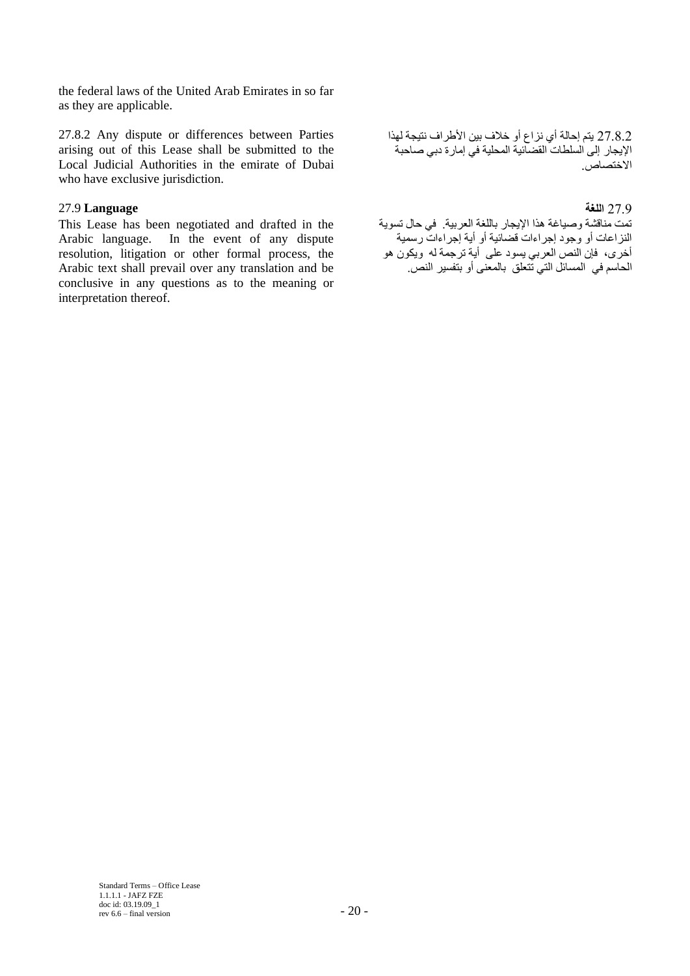the federal laws of the United Arab Emirates in so far as they are applicable.

27.8.2 Any dispute or differences between Parties arising out of this Lease shall be submitted to the Local Judicial Authorities in the emirate of Dubai who have exclusive jurisdiction.

# 27.9 **اللغة Language** 27.9

This Lease has been negotiated and drafted in the Arabic language. In the event of any dispute resolution, litigation or other formal process, the Arabic text shall prevail over any translation and be conclusive in any questions as to the meaning or interpretation thereof.

27.8.2 يتم إحالة أي نزاع أو خالف بين األطراف نتيجة لهذا اإليجار إلى السلطات القضائية المحلية في إمارة دبي صاحبة االختصاص.

تمت مناقشة وصياغة هذا اإليجار باللغة العربية. في حال تسوية النزاعات أو وجود إجراءات قضائية أو أية إجراءات رسمية أخرى، فإن النص العربي يسود على أية ترجمة له ويكون هو الحاسم في المسائل التي تتعلق بالمعنى أو بتفسير النص.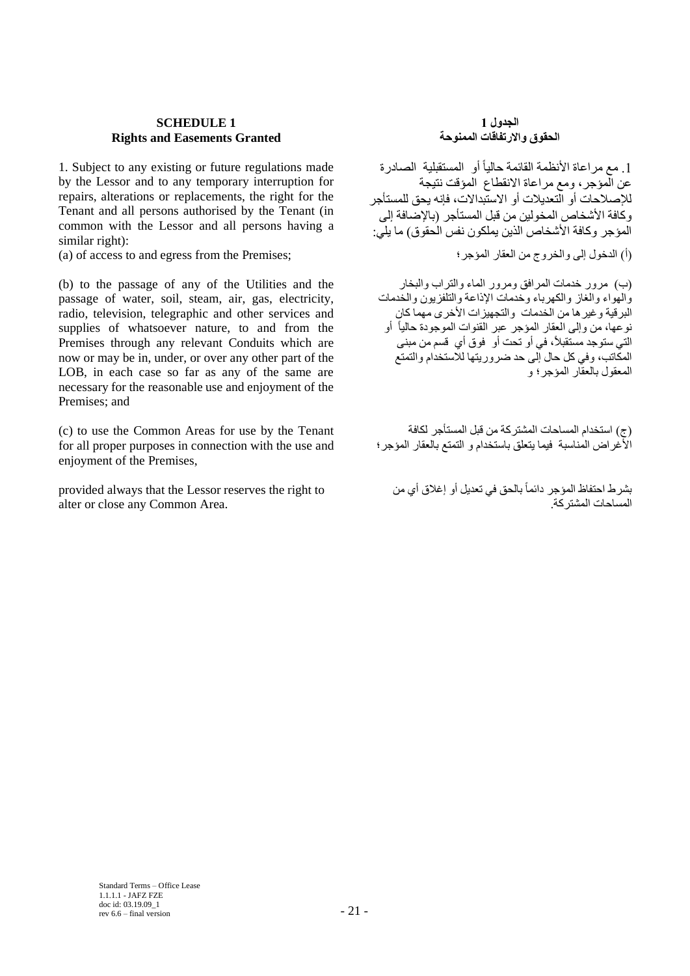# **SCHEDULE 1 Rights and Easements Granted**

1. Subject to any existing or future regulations made by the Lessor and to any temporary interruption for repairs, alterations or replacements, the right for the Tenant and all persons authorised by the Tenant (in common with the Lessor and all persons having a similar right):

(a) of access to and egress from the Premises; المؤجر؛ العقار من والخروج إلى الدخول( أ)

(b) to the passage of any of the Utilities and the passage of water, soil, steam, air, gas, electricity, radio, television, telegraphic and other services and supplies of whatsoever nature, to and from the Premises through any relevant Conduits which are now or may be in, under, or over any other part of the LOB, in each case so far as any of the same are necessary for the reasonable use and enjoyment of the Premises; and

(c) to use the Common Areas for use by the Tenant for all proper purposes in connection with the use and enjoyment of the Premises,

provided always that the Lessor reserves the right to alter or close any Common Area.

## **الجدول 1 الحقوق واالرتفاقات الممنوحة**

1. مع مراعاة الأنظمة القائمة حالياً أو المستقبلية الصادرة عن المؤجر، ومع مراعاة االنقطاع المؤقت نتيجة لإلصالحات أو التعديالت أو االستبداالت، فإنه يحق للمستأجر وكافة الأشخاص المخولين من قبل المستأجر (بالإصافة إلى المؤجر وكافة الأشخاص الذين يملكون نفس الُحقوق) ما يلي:

)ب( مرور خدمات المرافق ومرور الماء والتراب والبخار والهواء والغاز والكهرباء وخدمات اإلذاعة والتلفزيون والخدمات البرقية وغيرها من الخدمات والتجهيزات األخرى مهما كان نوعها، من وإلى العقار المؤجر عبر القنوات الموجودة حالياً أو ر ستو جد مستقبلاً، في أو تحت أو فوق أي قسم من مبنى ,<br>التي ستوجد مستقبلاً، في أو تحت أو فوق أي قسم من مبنى المكاتب، وفي كل حال إلى حد ضروريتها لالستخدام والتمتع المعقول بالعقار المؤجر؛ و

)ج( استخدام المساحات المشتركة من قبل المستأجر لكافة األغراض المناسبة فيما يتعلق باستخدام و التمتع بالعقار المؤجر؛

بشرط احتفاظ المؤجر دائماً بالحق في تعديل أو إغالق أي من .<br>المساحات المشتر كة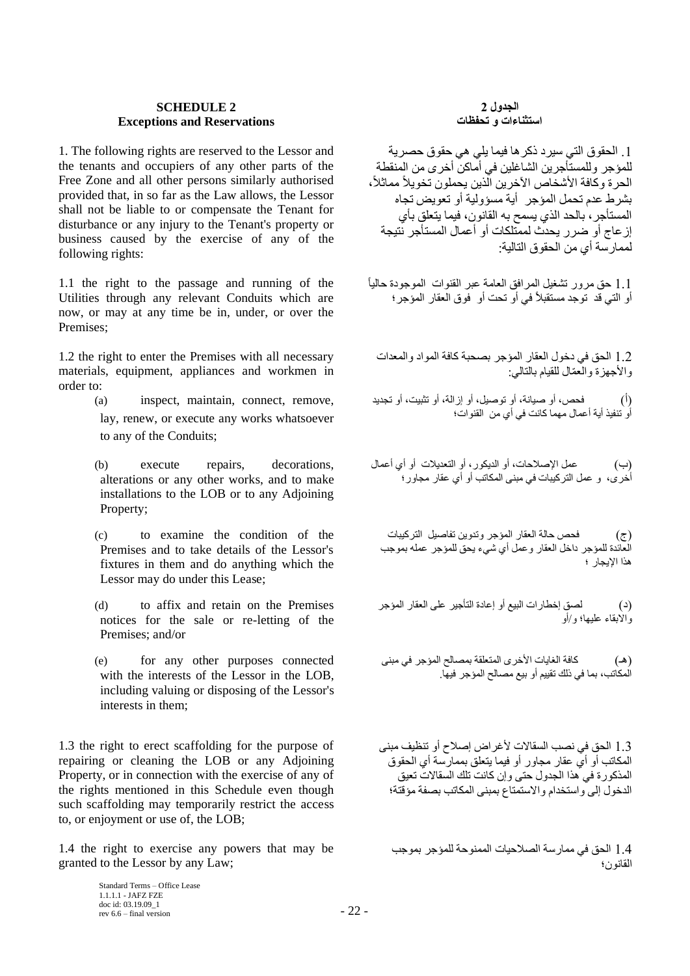### **SCHEDULE 2 Exceptions and Reservations**

1. The following rights are reserved to the Lessor and the tenants and occupiers of any other parts of the Free Zone and all other persons similarly authorised provided that, in so far as the Law allows, the Lessor shall not be liable to or compensate the Tenant for disturbance or any injury to the Tenant's property or business caused by the exercise of any of the following rights:

1.1 the right to the passage and running of the Utilities through any relevant Conduits which are now, or may at any time be in, under, or over the Premises;

1.2 the right to enter the Premises with all necessary materials, equipment, appliances and workmen in order to:

- (a) inspect, maintain, connect, remove, lay, renew, or execute any works whatsoever to any of the Conduits;
- (b) execute repairs, decorations, alterations or any other works, and to make installations to the LOB or to any Adjoining Property;
- (c) to examine the condition of the Premises and to take details of the Lessor's fixtures in them and do anything which the Lessor may do under this Lease;
- (d) to affix and retain on the Premises notices for the sale or re-letting of the Premises; and/or
- (e) for any other purposes connected with the interests of the Lessor in the LOB, including valuing or disposing of the Lessor's interests in them;

1.3 the right to erect scaffolding for the purpose of repairing or cleaning the LOB or any Adjoining Property, or in connection with the exercise of any of the rights mentioned in this Schedule even though such scaffolding may temporarily restrict the access to, or enjoyment or use of, the LOB;

1.4 the right to exercise any powers that may be granted to the Lessor by any Law;

### **الجدول 2 استثناءات و تحفظات**

.1 الحقوق التي سيرد ذكرها فيما يلي هي حقوق حصرية للمؤجر وللمستأجرين الشاغلين في أماكن أخرى من المنقطة الحرة وكافة الأشخاص الآخرين الذين يحملون تخويلاً مماثلاً، بشرط عدم تحمل المؤجر أية مسؤولية أو تعويض تجاه المستأجر، بالحد الذي يسمح به القانون، فيما يتعلق بأي إزعاج أو ضرر يحدث لممتلكات أو أعمال المستأجر نتيجة لممارسة أي من الحقوق التالية:

1.1 حق مرور تشغيل المرافق العامة عبر القنوات الموجودة حالياً أو التي قد توجد مستقبلاً في أو تحت أو فوق العقار المؤجر ؛

1.2 الحق في دخول العقار المؤجر بصحبة كافة المواد والمعدات و الأجهز ة و العمّال للقيام بالتالي:

)أ( فحص، أو صيانة، أو توصيل، أو إزالة، أو تثبيت، أو تجديد أو تنفيذ أية أعمال مهما كانت في أي من القنوات؛

)ب( عمل اإلصالحات، أو الديكور، أو التعديالت أو أي أعمال أخرى، و عمل التركيبات في مبنى المكاتب أو أي عقار مجاور؛

)ج( فحص حالة العقار المؤجر وتدوين تفاصيل التركيبات العائدة للمؤجر داخل العقار وعمل أي شيء يحق للمؤجر عمله بموجب هذا اإليجار ؛

)د( لصق إخطارات البيع أو إعادة التأجير على العقار المؤجر واالبقاء عليها؛ و/أو

)هـ( كافة الغايات األخرى المتعلقة بمصالح المؤجر في مبنى المكاتب، بما في ذلك تقييم أو بيع مصالح المؤجر فيها.

1.3 الحق في نصب السقاالت ألغراض إصالح أو تنظيف مبنى المكاتب أو أي عقار مجاور أو فيما يتعلق بممارسة أي الحقوق المذكورة في هذا الجدول حتى وإن كانت تلك السقاالت تعيق الدخول إلى واستخدام واالستمتاع بمبنى المكاتب بصفة مؤقتة؛

1.4 الحق في ممارسة الصالحيات الممنوحة للمؤجر بموجب القانون؛

Standard Terms – Office Lease 1.1.1.1 - JAFZ FZE doc id: 03.19.09\_1  $r = 22$  -  $\frac{1}{2}$  - 22 -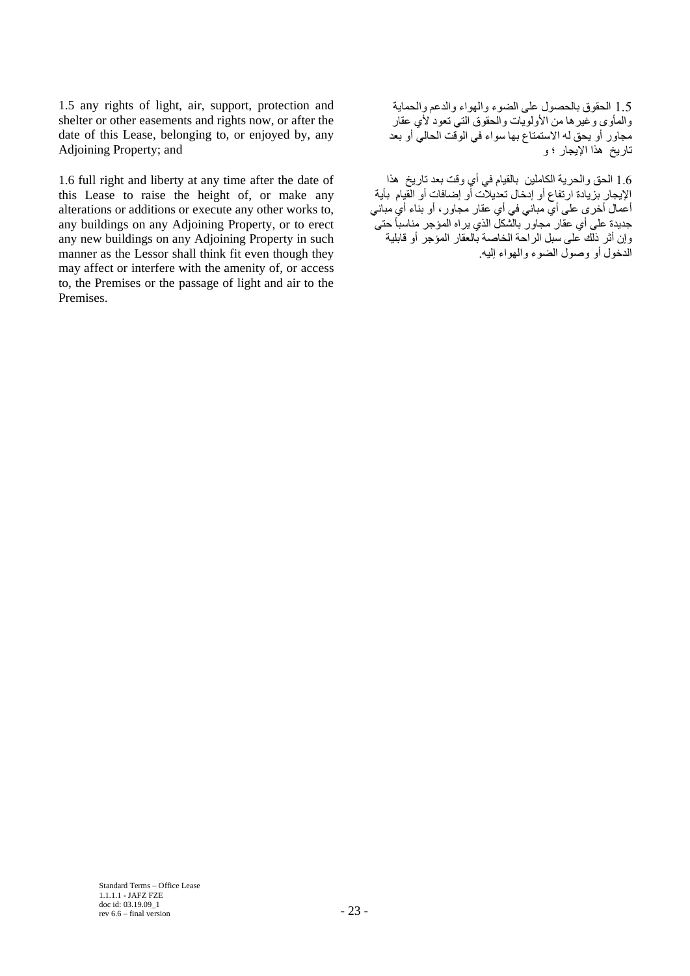1.5 any rights of light, air, support, protection and shelter or other easements and rights now, or after the date of this Lease, belonging to, or enjoyed by, any Adjoining Property; and

1.6 full right and liberty at any time after the date of this Lease to raise the height of, or make any alterations or additions or execute any other works to, any buildings on any Adjoining Property, or to erect any new buildings on any Adjoining Property in such manner as the Lessor shall think fit even though they may affect or interfere with the amenity of, or access to, the Premises or the passage of light and air to the Premises.

1.5 الحقوق بالحصول على الضوء والهواء والدعم والحماية والمأوى وعيرها من الأولويات والحقوق التي تعود لأي عقار مجاور أو يحق له االستمتاع بها سواء في الوقت الحالي أو بعد تاريخ هذا اإليجار ؛ و

1.6 الحق والحرية الكاملين بالقيام في أي وقت بعد تاريخ هذا اإليجار بزيادة ارتفاع أو إدخال تعديالت أو إضافات أو القيام بأية أعمال أخرى على أي مباني في أي عقار مجاور، أو بناء أي مباني جديدة على أي عقار مجاور بالشكل الذي يراه المؤجر مناسباً حتى وإن أثر ذلك على سبل الراحة الخاصة بالعقار المؤجر أو قابلية الدخول أو وصول الضوء والهواء إليه.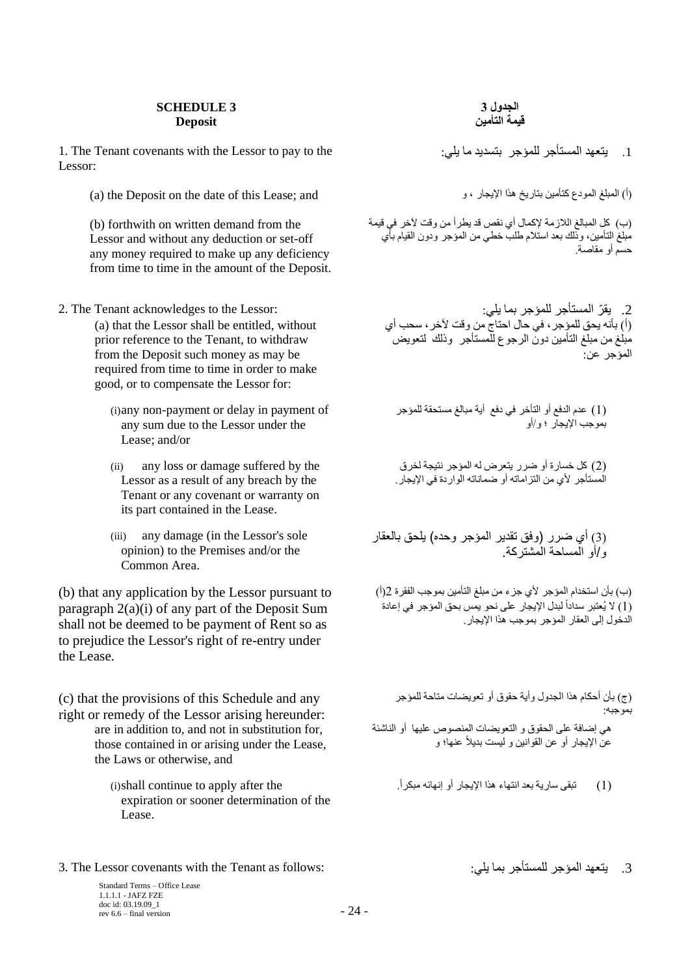### **SCHEDULE 3 Deposit**

1. The Tenant covenants with the Lessor to pay to the :يلي ما بتسديد للمؤجر المستأجر يتعهد .1 Lessor:

(a) the Deposit on the date of this Lease; and المبلغ المودع كتأمين بتاريخ هذا الإيجار ، و ، و ، و ، و ، و ، و

(b) forthwith on written demand from the Lessor and without any deduction or set-off any money required to make up any deficiency from time to time in the amount of the Deposit.

- 2. يقرّ المستأجر للمؤجر بما يلي: : "2. The Tenant acknowledges to the Lessor : (a) that the Lessor shall be entitled, without prior reference to the Tenant, to withdraw from the Deposit such money as may be required from time to time in order to make good, or to compensate the Lessor for:
	- (i)any non-payment or delay in payment of any sum due to the Lessor under the Lease; and/or
	- (ii) any loss or damage suffered by the Lessor as a result of any breach by the Tenant or any covenant or warranty on its part contained in the Lease.
	- (iii) any damage (in the Lessor's sole opinion) to the Premises and/or the Common Area.

(b) that any application by the Lessor pursuant to paragraph 2(a)(i) of any part of the Deposit Sum shall not be deemed to be payment of Rent so as to prejudice the Lessor's right of re-entry under the Lease.

(c) that the provisions of this Schedule and any right or remedy of the Lessor arising hereunder: are in addition to, and not in substitution for, those contained in or arising under the Lease, the Laws or otherwise, and

> expiration or sooner determination of the Lease.

3. The Lessor covenants with the Tenant as follows: :يلي بما للمستأجر المؤجر يتعهد .3

Standard Terms – Office Lease 1.1.1.1 - JAFZ FZE doc id: 03.19.09\_1 rev 6.6 – final version  $-24$  –

### **الجدول 3 قيمة التأمين**

)ب( كل المبالغ الالزمة إلكمال أي نقص قد يطرأ من وقت آلخر في قيمة مبلغ التأمين، وذلك بعد استالم طلب خطي من المؤجر ودون القيام بأي حسم أو مقاصة.

)أ( بأنه يحق للمؤجر، في حال احتاج من وقت آلخر، سحب أي مبلغ من مبلغ التأمين دون الرجوع للمستأجر وذلك لتعويض المؤجر عن:

)1( عدم الدفع أو التأخر في دفع أية مبالغ مستحقة للمؤجر بموجب اإليجار ؛ و/أو

)2( كل خسارة أو ضرر يتعرض له المؤجر نتيجة لخرق المستأجر ألي من التزاماته أو ضماناته الواردة في اإليجار.

(3) أي ضرر (وفق تقدير المؤجر وحده) يلحق بالعقار و/أو المساحة المشتركة.

)ب( بأن استخدام المؤجر ألي جزء من مبلغ التأمين بموجب الفقرة 2)أ( (1) لا يُعتبر سداداً لبدل الإيجار على نحو يمس بحق المؤجر في إعادة الدخول إلى العقار المؤجر بموجب هذا اإليجار.

)ج( بأن أحكام هذا الجدول وأية حقوق أو تعويضات متاحة للمؤجر بموجبه: هي إضافة على الحقوق و التعويضات المنصوص عليها أو الناشئة عن اإليجار أو عن القوانين و ليست بديالً عنها؛ و

)1( تبقى سارية بعد انتهاء هذا اإليجار أو إنهائه مبكرا.ً the after apply to continue shall)i(